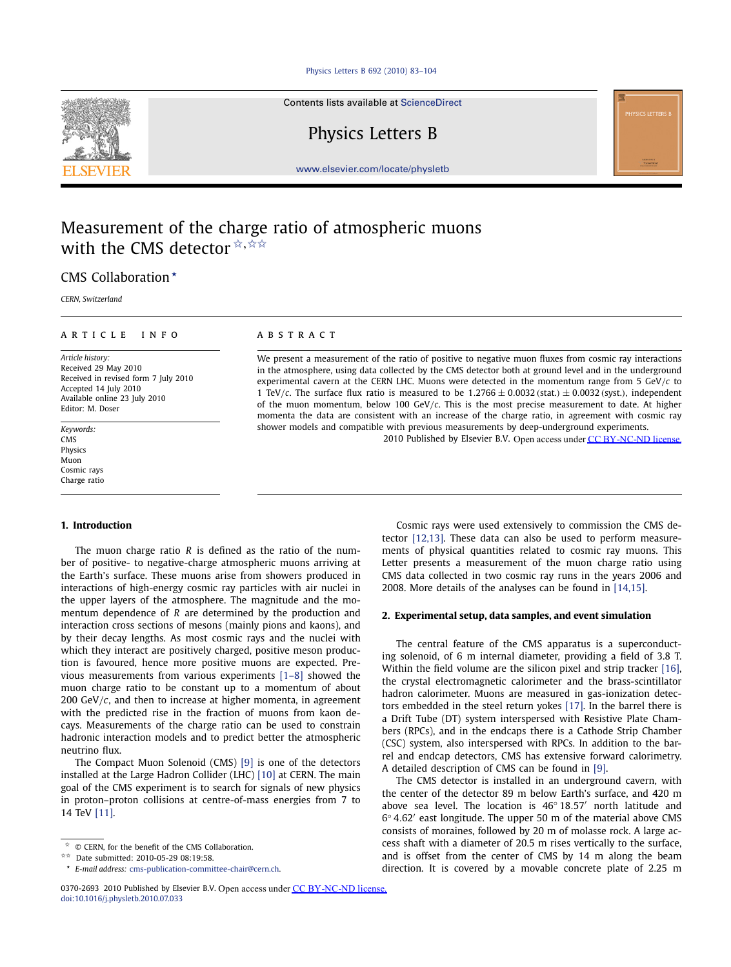#### [Physics Letters B 692 \(2010\) 83–104](http://dx.doi.org/10.1016/j.physletb.2010.07.033)



Physics Letters B

[www.elsevier.com/locate/physletb](http://www.elsevier.com/locate/physletb)

# Measurement of the charge ratio of atmospheric muons with the CMS detector **<del>** $\forall x, \forall x$ **</del>**

CMS Collaboration *-*

*CERN, Switzerland*

#### article info abstract

*Article history:* Received 29 May 2010 Received in revised form 7 July 2010 Accepted 14 July 2010 Available online 23 July 2010 Editor: M. Doser

*Keywords:* CMS Physics Muon Cosmic rays Charge ratio

# **1. Introduction**

The muon charge ratio *R* is defined as the ratio of the number of positive- to negative-charge atmospheric muons arriving at the Earth's surface. These muons arise from showers produced in interactions of high-energy cosmic ray particles with air nuclei in the upper layers of the atmosphere. The magnitude and the momentum dependence of *R* are determined by the production and interaction cross sections of mesons (mainly pions and kaons), and by their decay lengths. As most cosmic rays and the nuclei with which they interact are positively charged, positive meson production is favoured, hence more positive muons are expected. Previous measurements from various experiments [\[1–8\]](#page-7-0) showed the muon charge ratio to be constant up to a momentum of about 200 GeV*/c*, and then to increase at higher momenta, in agreement with the predicted rise in the fraction of muons from kaon decays. Measurements of the charge ratio can be used to constrain hadronic interaction models and to predict better the atmospheric neutrino flux.

The Compact Muon Solenoid (CMS) [\[9\]](#page-8-0) is one of the detectors installed at the Large Hadron Collider (LHC) [\[10\]](#page-8-0) at CERN. The main goal of the CMS experiment is to search for signals of new physics in proton–proton collisions at centre-of-mass energies from 7 to 14 TeV [\[11\].](#page-8-0)

*-E-mail address:* [cms-publication-committee-chair@cern.ch](mailto:cms-publication-committee-chair@cern.ch).

We present a measurement of the ratio of positive to negative muon fluxes from cosmic ray interactions in the atmosphere, using data collected by the CMS detector both at ground level and in the underground experimental cavern at the CERN LHC. Muons were detected in the momentum range from 5 GeV*/c* to 1 TeV/*c*. The surface flux ratio is measured to be  $1.2766 \pm 0.0032$  *(stat.)*  $\pm 0.0032$  *(syst.), independent* of the muon momentum, below 100 GeV*/c*. This is the most precise measurement to date. At higher momenta the data are consistent with an increase of the charge ratio, in agreement with cosmic ray shower models and compatible with previous measurements by deep-underground experiments.

2010 Published by Elsevier B.V. Open access under [CC BY-NC-ND license.](http://creativecommons.org/licenses/by-nc-nd/3.0/)

**TYSICS LETTERS** 

Cosmic rays were used extensively to commission the CMS detector [\[12,13\].](#page-8-0) These data can also be used to perform measurements of physical quantities related to cosmic ray muons. This Letter presents a measurement of the muon charge ratio using CMS data collected in two cosmic ray runs in the years 2006 and 2008. More details of the analyses can be found in [\[14,15\].](#page-8-0)

#### **2. Experimental setup, data samples, and event simulation**

The central feature of the CMS apparatus is a superconducting solenoid, of 6 m internal diameter, providing a field of 3.8 T. Within the field volume are the silicon pixel and strip tracker [\[16\],](#page-8-0) the crystal electromagnetic calorimeter and the brass-scintillator hadron calorimeter. Muons are measured in gas-ionization detectors embedded in the steel return yokes [\[17\].](#page-8-0) In the barrel there is a Drift Tube (DT) system interspersed with Resistive Plate Chambers (RPCs), and in the endcaps there is a Cathode Strip Chamber (CSC) system, also interspersed with RPCs. In addition to the barrel and endcap detectors, CMS has extensive forward calorimetry. A detailed description of CMS can be found in [\[9\].](#page-8-0)

The CMS detector is installed in an underground cavern, with the center of the detector 89 m below Earth's surface, and 420 m above sea level. The location is 46◦ 18*.*57 north latitude and 6◦ 4*.*62 east longitude. The upper 50 m of the material above CMS consists of moraines, followed by 20 m of molasse rock. A large access shaft with a diameter of 20.5 m rises vertically to the surface, and is offset from the center of CMS by 14 m along the beam direction. It is covered by a movable concrete plate of 2.25 m

<span id="page-0-0"></span>

<sup>✩</sup> © CERN, for the benefit of the CMS Collaboration.

<sup>✩✩</sup> Date submitted: 2010-05-29 08:19:58.

<sup>0370-2693 2010</sup> Published by Elsevier B.V. Open access under [CC BY-NC-ND license.](http://creativecommons.org/licenses/by-nc-nd/3.0/) [doi:10.1016/j.physletb.2010.07.033](http://dx.doi.org/10.1016/j.physletb.2010.07.033)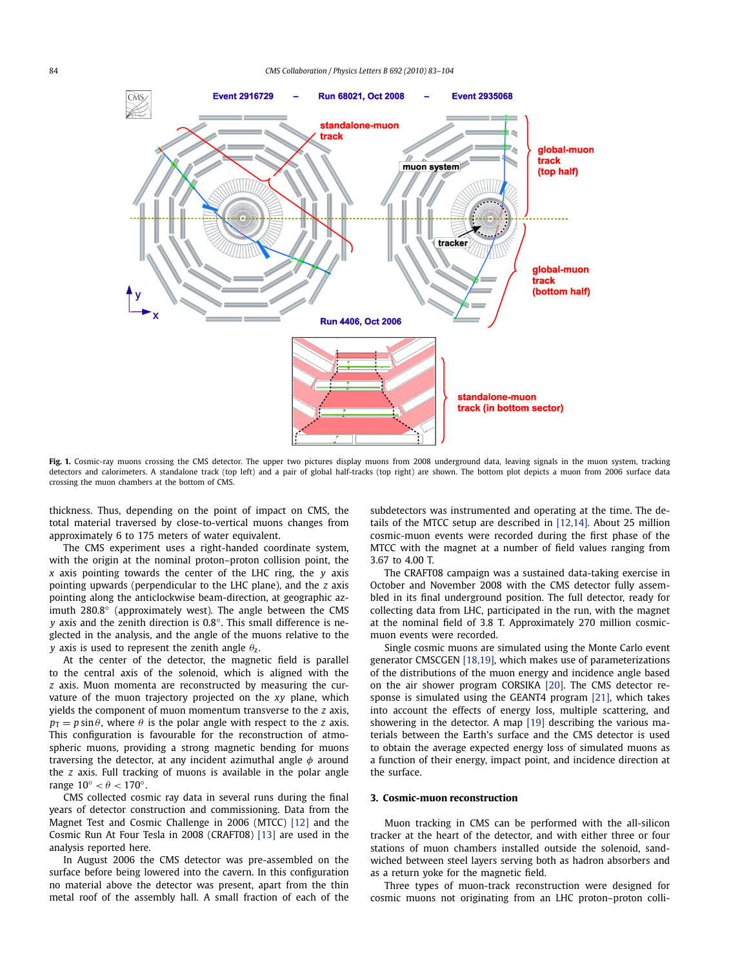<span id="page-1-0"></span>

Fig. 1. Cosmic-ray muons crossing the CMS detector. The upper two pictures display muons from 2008 underground data, leaving signals in the muon system, tracking detectors and calorimeters. A standalone track (top left) and a pair of global half-tracks (top right) are shown. The bottom plot depicts a muon from 2006 surface data crossing the muon chambers at the bottom of CMS.

thickness. Thus, depending on the point of impact on CMS, the total material traversed by close-to-vertical muons changes from approximately 6 to 175 meters of water equivalent.

The CMS experiment uses a right-handed coordinate system, with the origin at the nominal proton–proton collision point, the *x* axis pointing towards the center of the LHC ring, the *y* axis pointing upwards (perpendicular to the LHC plane), and the *z* axis pointing along the anticlockwise beam-direction, at geographic azimuth 280.8◦ (approximately west). The angle between the CMS *y* axis and the zenith direction is 0.8◦. This small difference is neglected in the analysis, and the angle of the muons relative to the *y* axis is used to represent the zenith angle  $\theta$ <sub>z</sub>.

At the center of the detector, the magnetic field is parallel to the central axis of the solenoid, which is aligned with the *z* axis. Muon momenta are reconstructed by measuring the curvature of the muon trajectory projected on the *xy* plane, which yields the component of muon momentum transverse to the *z* axis,  $p_T = p \sin \theta$ , where  $\theta$  is the polar angle with respect to the *z* axis. This configuration is favourable for the reconstruction of atmospheric muons, providing a strong magnetic bending for muons traversing the detector, at any incident azimuthal angle *φ* around the *z* axis. Full tracking of muons is available in the polar angle range  $10^{\circ} < \theta < 170^{\circ}$ .

CMS collected cosmic ray data in several runs during the final years of detector construction and commissioning. Data from the Magnet Test and Cosmic Challenge in 2006 (MTCC) [\[12\]](#page-8-0) and the Cosmic Run At Four Tesla in 2008 (CRAFT08) [\[13\]](#page-8-0) are used in the analysis reported here.

In August 2006 the CMS detector was pre-assembled on the surface before being lowered into the cavern. In this configuration no material above the detector was present, apart from the thin metal roof of the assembly hall. A small fraction of each of the subdetectors was instrumented and operating at the time. The details of the MTCC setup are described in [\[12,14\].](#page-8-0) About 25 million cosmic-muon events were recorded during the first phase of the MTCC with the magnet at a number of field values ranging from 3.67 to 4.00 T.

The CRAFT08 campaign was a sustained data-taking exercise in October and November 2008 with the CMS detector fully assembled in its final underground position. The full detector, ready for collecting data from LHC, participated in the run, with the magnet at the nominal field of 3.8 T. Approximately 270 million cosmicmuon events were recorded.

Single cosmic muons are simulated using the Monte Carlo event generator CMSCGEN [\[18,19\],](#page-8-0) which makes use of parameterizations of the distributions of the muon energy and incidence angle based on the air shower program CORSIKA [\[20\].](#page-8-0) The CMS detector response is simulated using the GEANT4 program [\[21\],](#page-8-0) which takes into account the effects of energy loss, multiple scattering, and showering in the detector. A map [\[19\]](#page-8-0) describing the various materials between the Earth's surface and the CMS detector is used to obtain the average expected energy loss of simulated muons as a function of their energy, impact point, and incidence direction at the surface.

#### **3. Cosmic-muon reconstruction**

Muon tracking in CMS can be performed with the all-silicon tracker at the heart of the detector, and with either three or four stations of muon chambers installed outside the solenoid, sandwiched between steel layers serving both as hadron absorbers and as a return yoke for the magnetic field.

Three types of muon-track reconstruction were designed for cosmic muons not originating from an LHC proton–proton colli-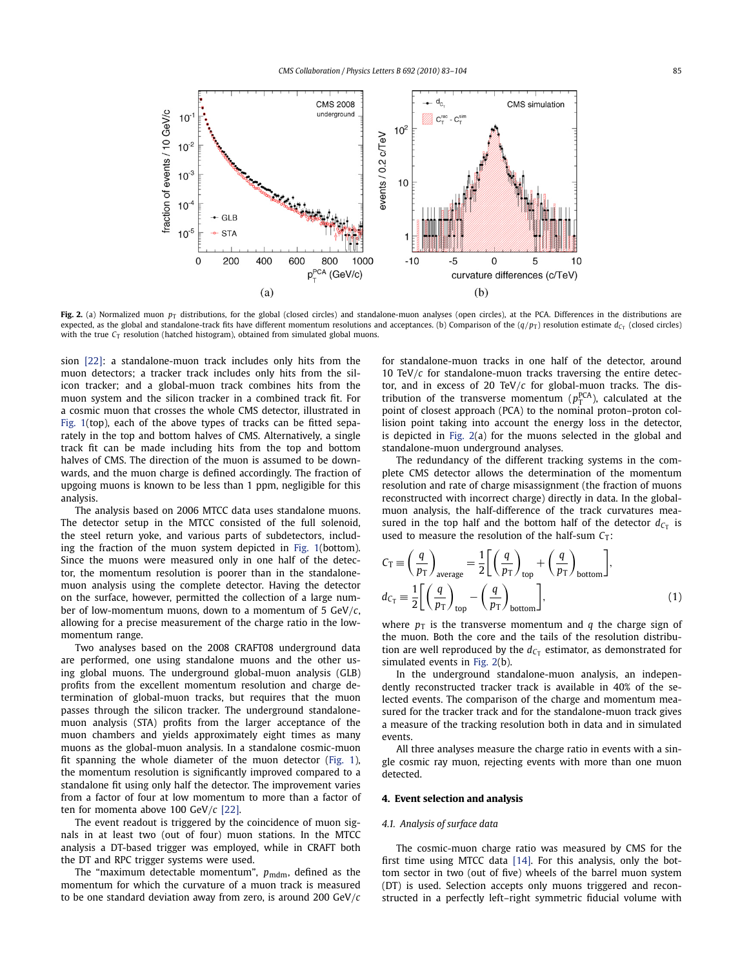<span id="page-2-0"></span>

Fig. 2. (a) Normalized muon  $p_T$  distributions, for the global (closed circles) and standalone-muon analyses (open circles), at the PCA. Differences in the distributions are expected, as the global and standalone-track fits have different momentum resolutions and acceptances. (b) Comparison of the  $(q/p_T)$  resolution estimate  $d_{C_T}$  (closed circles) with the true  $C_T$  resolution (hatched histogram), obtained from simulated global muons.

sion [\[22\]:](#page-8-0) a standalone-muon track includes only hits from the muon detectors; a tracker track includes only hits from the silicon tracker; and a global-muon track combines hits from the muon system and the silicon tracker in a combined track fit. For a cosmic muon that crosses the whole CMS detector, illustrated in [Fig. 1\(](#page-1-0)top), each of the above types of tracks can be fitted separately in the top and bottom halves of CMS. Alternatively, a single track fit can be made including hits from the top and bottom halves of CMS. The direction of the muon is assumed to be downwards, and the muon charge is defined accordingly. The fraction of upgoing muons is known to be less than 1 ppm, negligible for this analysis.

The analysis based on 2006 MTCC data uses standalone muons. The detector setup in the MTCC consisted of the full solenoid, the steel return yoke, and various parts of subdetectors, including the fraction of the muon system depicted in [Fig. 1\(](#page-1-0)bottom). Since the muons were measured only in one half of the detector, the momentum resolution is poorer than in the standalonemuon analysis using the complete detector. Having the detector on the surface, however, permitted the collection of a large number of low-momentum muons, down to a momentum of 5 GeV*/c*, allowing for a precise measurement of the charge ratio in the lowmomentum range.

Two analyses based on the 2008 CRAFT08 underground data are performed, one using standalone muons and the other using global muons. The underground global-muon analysis (GLB) profits from the excellent momentum resolution and charge determination of global-muon tracks, but requires that the muon passes through the silicon tracker. The underground standalonemuon analysis (STA) profits from the larger acceptance of the muon chambers and yields approximately eight times as many muons as the global-muon analysis. In a standalone cosmic-muon fit spanning the whole diameter of the muon detector [\(Fig. 1\)](#page-1-0), the momentum resolution is significantly improved compared to a standalone fit using only half the detector. The improvement varies from a factor of four at low momentum to more than a factor of ten for momenta above 100 GeV*/c* [\[22\].](#page-8-0)

The event readout is triggered by the coincidence of muon signals in at least two (out of four) muon stations. In the MTCC analysis a DT-based trigger was employed, while in CRAFT both the DT and RPC trigger systems were used.

The "maximum detectable momentum",  $p_{\text{mdm}}$ , defined as the momentum for which the curvature of a muon track is measured to be one standard deviation away from zero, is around 200 GeV*/c* for standalone-muon tracks in one half of the detector, around 10 TeV*/c* for standalone-muon tracks traversing the entire detector, and in excess of 20 TeV*/c* for global-muon tracks. The distribution of the transverse momentum  $(p_T^{PCA})$ , calculated at the point of closest approach (PCA) to the nominal proton–proton collision point taking into account the energy loss in the detector, is depicted in Fig. 2(a) for the muons selected in the global and standalone-muon underground analyses.

The redundancy of the different tracking systems in the complete CMS detector allows the determination of the momentum resolution and rate of charge misassignment (the fraction of muons reconstructed with incorrect charge) directly in data. In the globalmuon analysis, the half-difference of the track curvatures measured in the top half and the bottom half of the detector  $d_{Cr}$  is used to measure the resolution of the half-sum  $C_T$ :

$$
C_{\text{T}} \equiv \left(\frac{q}{p_{\text{T}}}\right)_{\text{average}} = \frac{1}{2} \left[ \left(\frac{q}{p_{\text{T}}}\right)_{\text{top}} + \left(\frac{q}{p_{\text{T}}}\right)_{\text{bottom}} \right],
$$
  

$$
d_{\text{C}_{\text{T}}} \equiv \frac{1}{2} \left[ \left(\frac{q}{p_{\text{T}}}\right)_{\text{top}} - \left(\frac{q}{p_{\text{T}}}\right)_{\text{bottom}} \right],
$$
 (1)

where  $p_T$  is the transverse momentum and *q* the charge sign of the muon. Both the core and the tails of the resolution distribution are well reproduced by the  $d_{Cr}$  estimator, as demonstrated for simulated events in Fig. 2(b).

In the underground standalone-muon analysis, an independently reconstructed tracker track is available in 40% of the selected events. The comparison of the charge and momentum measured for the tracker track and for the standalone-muon track gives a measure of the tracking resolution both in data and in simulated events.

All three analyses measure the charge ratio in events with a single cosmic ray muon, rejecting events with more than one muon detected.

#### **4. Event selection and analysis**

#### *4.1. Analysis of surface data*

The cosmic-muon charge ratio was measured by CMS for the first time using MTCC data [\[14\].](#page-8-0) For this analysis, only the bottom sector in two (out of five) wheels of the barrel muon system (DT) is used. Selection accepts only muons triggered and reconstructed in a perfectly left–right symmetric fiducial volume with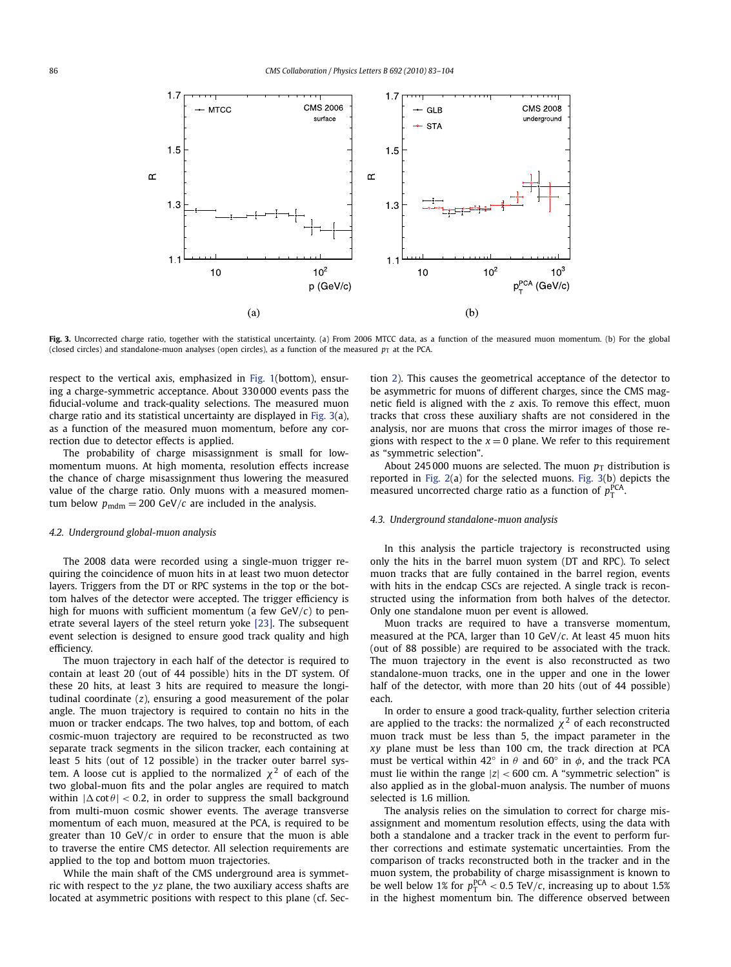<span id="page-3-0"></span>

Fig. 3. Uncorrected charge ratio, together with the statistical uncertainty. (a) From 2006 MTCC data, as a function of the measured muon momentum. (b) For the global (closed circles) and standalone-muon analyses (open circles), as a function of the measured  $p<sub>T</sub>$  at the PCA.

respect to the vertical axis, emphasized in [Fig. 1\(](#page-1-0)bottom), ensuring a charge-symmetric acceptance. About 330 000 events pass the fiducial-volume and track-quality selections. The measured muon charge ratio and its statistical uncertainty are displayed in Fig. 3(a), as a function of the measured muon momentum, before any correction due to detector effects is applied.

The probability of charge misassignment is small for lowmomentum muons. At high momenta, resolution effects increase the chance of charge misassignment thus lowering the measured value of the charge ratio. Only muons with a measured momentum below  $p_{\text{mdm}} = 200 \text{ GeV}/c$  are included in the analysis.

#### *4.2. Underground global-muon analysis*

The 2008 data were recorded using a single-muon trigger requiring the coincidence of muon hits in at least two muon detector layers. Triggers from the DT or RPC systems in the top or the bottom halves of the detector were accepted. The trigger efficiency is high for muons with sufficient momentum (a few GeV*/c*) to penetrate several layers of the steel return yoke [\[23\].](#page-8-0) The subsequent event selection is designed to ensure good track quality and high efficiency.

The muon trajectory in each half of the detector is required to contain at least 20 (out of 44 possible) hits in the DT system. Of these 20 hits, at least 3 hits are required to measure the longitudinal coordinate (*z*), ensuring a good measurement of the polar angle. The muon trajectory is required to contain no hits in the muon or tracker endcaps. The two halves, top and bottom, of each cosmic-muon trajectory are required to be reconstructed as two separate track segments in the silicon tracker, each containing at least 5 hits (out of 12 possible) in the tracker outer barrel system. A loose cut is applied to the normalized  $\chi^2$  of each of the two global-muon fits and the polar angles are required to match within  $|\Delta \cot \theta|$  < 0.2, in order to suppress the small background from multi-muon cosmic shower events. The average transverse momentum of each muon, measured at the PCA, is required to be greater than 10 GeV*/c* in order to ensure that the muon is able to traverse the entire CMS detector. All selection requirements are applied to the top and bottom muon trajectories.

While the main shaft of the CMS underground area is symmetric with respect to the *yz* plane, the two auxiliary access shafts are located at asymmetric positions with respect to this plane (cf. Section [2\)](#page-0-0). This causes the geometrical acceptance of the detector to be asymmetric for muons of different charges, since the CMS magnetic field is aligned with the *z* axis. To remove this effect, muon tracks that cross these auxiliary shafts are not considered in the analysis, nor are muons that cross the mirror images of those regions with respect to the  $x = 0$  plane. We refer to this requirement as "symmetric selection".

About 245 000 muons are selected. The muon  $p<sub>T</sub>$  distribution is reported in [Fig. 2\(](#page-2-0)a) for the selected muons. Fig. 3(b) depicts the measured uncorrected charge ratio as a function of  $p_T^{PCA}$ .

#### *4.3. Underground standalone-muon analysis*

In this analysis the particle trajectory is reconstructed using only the hits in the barrel muon system (DT and RPC). To select muon tracks that are fully contained in the barrel region, events with hits in the endcap CSCs are rejected. A single track is reconstructed using the information from both halves of the detector. Only one standalone muon per event is allowed.

Muon tracks are required to have a transverse momentum, measured at the PCA, larger than 10 GeV*/c*. At least 45 muon hits (out of 88 possible) are required to be associated with the track. The muon trajectory in the event is also reconstructed as two standalone-muon tracks, one in the upper and one in the lower half of the detector, with more than 20 hits (out of 44 possible) each.

In order to ensure a good track-quality, further selection criteria are applied to the tracks: the normalized  $\chi^2$  of each reconstructed muon track must be less than 5, the impact parameter in the *xy* plane must be less than 100 cm, the track direction at PCA must be vertical within 42° in  $\theta$  and 60° in  $\phi$ , and the track PCA must lie within the range |*z*| *<* 600 cm. A "symmetric selection" is also applied as in the global-muon analysis. The number of muons selected is 1.6 million.

The analysis relies on the simulation to correct for charge misassignment and momentum resolution effects, using the data with both a standalone and a tracker track in the event to perform further corrections and estimate systematic uncertainties. From the comparison of tracks reconstructed both in the tracker and in the muon system, the probability of charge misassignment is known to be well below 1% for  $p_T^{PCA} < 0.5$  TeV/*c*, increasing up to about 1.5% in the highest momentum bin. The difference observed between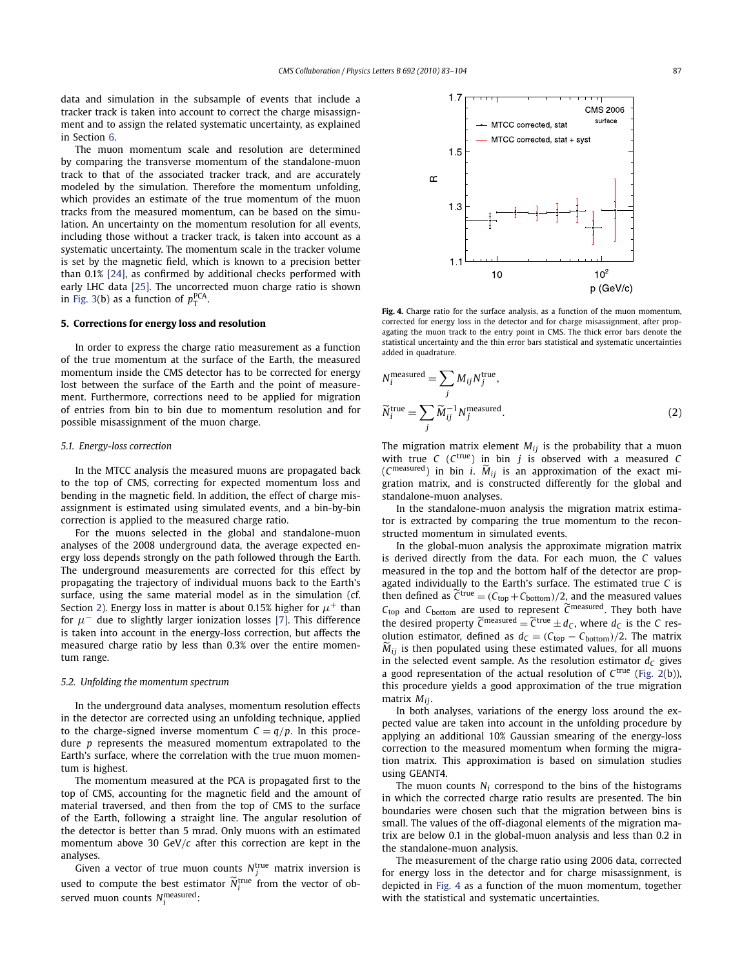data and simulation in the subsample of events that include a tracker track is taken into account to correct the charge misassignment and to assign the related systematic uncertainty, as explained in Section [6.](#page-5-0)

The muon momentum scale and resolution are determined by comparing the transverse momentum of the standalone-muon track to that of the associated tracker track, and are accurately modeled by the simulation. Therefore the momentum unfolding, which provides an estimate of the true momentum of the muon tracks from the measured momentum, can be based on the simulation. An uncertainty on the momentum resolution for all events, including those without a tracker track, is taken into account as a systematic uncertainty. The momentum scale in the tracker volume is set by the magnetic field, which is known to a precision better than 0.1% [\[24\],](#page-8-0) as confirmed by additional checks performed with early LHC data [\[25\].](#page-8-0) The uncorrected muon charge ratio is shown in [Fig. 3\(](#page-3-0)b) as a function of  $p_T^{\text{PCA}}$ .

#### **5. Corrections for energy loss and resolution**

In order to express the charge ratio measurement as a function of the true momentum at the surface of the Earth, the measured momentum inside the CMS detector has to be corrected for energy lost between the surface of the Earth and the point of measurement. Furthermore, corrections need to be applied for migration of entries from bin to bin due to momentum resolution and for possible misassignment of the muon charge.

#### *5.1. Energy-loss correction*

In the MTCC analysis the measured muons are propagated back to the top of CMS, correcting for expected momentum loss and bending in the magnetic field. In addition, the effect of charge misassignment is estimated using simulated events, and a bin-by-bin correction is applied to the measured charge ratio.

For the muons selected in the global and standalone-muon analyses of the 2008 underground data, the average expected energy loss depends strongly on the path followed through the Earth. The underground measurements are corrected for this effect by propagating the trajectory of individual muons back to the Earth's surface, using the same material model as in the simulation (cf. Section [2\)](#page-0-0). Energy loss in matter is about 0.15% higher for  $\mu^+$  than for  $\mu^-$  due to slightly larger ionization losses [\[7\].](#page-8-0) This difference is taken into account in the energy-loss correction, but affects the measured charge ratio by less than 0.3% over the entire momentum range.

#### *5.2. Unfolding the momentum spectrum*

In the underground data analyses, momentum resolution effects in the detector are corrected using an unfolding technique, applied to the charge-signed inverse momentum  $C = q/p$ . In this procedure *p* represents the measured momentum extrapolated to the Earth's surface, where the correlation with the true muon momentum is highest.

The momentum measured at the PCA is propagated first to the top of CMS, accounting for the magnetic field and the amount of material traversed, and then from the top of CMS to the surface of the Earth, following a straight line. The angular resolution of the detector is better than 5 mrad. Only muons with an estimated momentum above 30 GeV*/c* after this correction are kept in the analyses.

Given a vector of true muon counts  $N_j^{\text{true}}$  matrix inversion is used to compute the best estimator  $\widetilde{N}_i^{\text{true}}$  from the vector of observed muon counts  $N_i^{\text{measured}}$ :



**Fig. 4.** Charge ratio for the surface analysis, as a function of the muon momentum, corrected for energy loss in the detector and for charge misassignment, after propagating the muon track to the entry point in CMS. The thick error bars denote the statistical uncertainty and the thin error bars statistical and systematic uncertainties added in quadrature.

$$
N_i^{\text{measured}} = \sum_j M_{ij} N_j^{\text{true}},
$$
  

$$
\widetilde{N}_i^{\text{true}} = \sum_j \widetilde{M}_{ij}^{-1} N_j^{\text{measured}}.
$$
 (2)

The migration matrix element  $M_{ij}$  is the probability that a muon with true *C* (*C*true) in bin *j* is observed with a measured *C*  $(C^{\text{measured}})$  in bin *i*.  $\widetilde{M}_{ij}$  is an approximation of the exact migration matrix, and is constructed differently for the global and standalone-muon analyses.

In the standalone-muon analysis the migration matrix estimator is extracted by comparing the true momentum to the reconstructed momentum in simulated events.

In the global-muon analysis the approximate migration matrix is derived directly from the data. For each muon, the *C* values measured in the top and the bottom half of the detector are propagated individually to the Earth's surface. The estimated true *C* is then defined as  $\widetilde{C}^{\text{true}} = (C_{\text{top}} + C_{\text{bottom}})/2$ , and the measured values *C*<sub>top</sub> and *C*<sub>bottom</sub> are used to represent  $\tilde{C}^{\text{measured}}$ . They both have the desired property  $\widetilde{C}^{\text{measured}} = \widetilde{C}^{\text{true}} \pm d_C$ , where  $d_C$  is the C resolution estimator, defined as  $d_C = (C_{top} - C_{bottom})/2$ . The matrix  $\widetilde{M}_{ij}$  is then populated using these estimated values, for all muons in the selected event sample. As the resolution estimator  $d_C$  gives a good representation of the actual resolution of *C*true [\(Fig. 2\(](#page-2-0)b)), this procedure yields a good approximation of the true migration matrix *Mij*.

In both analyses, variations of the energy loss around the expected value are taken into account in the unfolding procedure by applying an additional 10% Gaussian smearing of the energy-loss correction to the measured momentum when forming the migration matrix. This approximation is based on simulation studies using GEANT4.

The muon counts  $N_i$  correspond to the bins of the histograms in which the corrected charge ratio results are presented. The bin boundaries were chosen such that the migration between bins is small. The values of the off-diagonal elements of the migration matrix are below 0.1 in the global-muon analysis and less than 0.2 in the standalone-muon analysis.

The measurement of the charge ratio using 2006 data, corrected for energy loss in the detector and for charge misassignment, is depicted in Fig. 4 as a function of the muon momentum, together with the statistical and systematic uncertainties.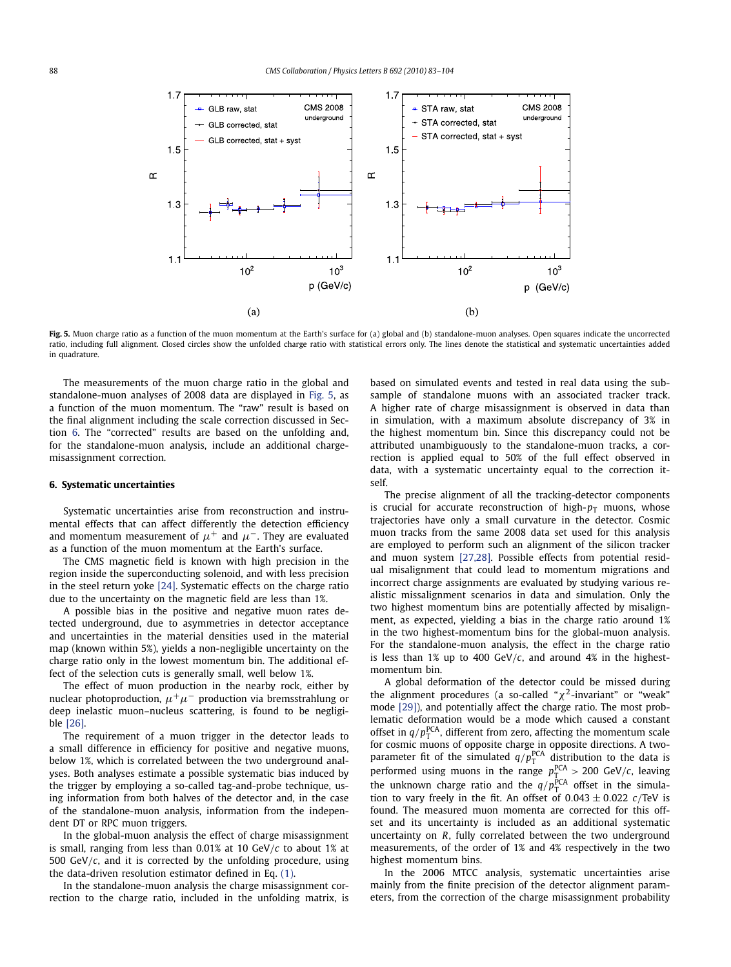<span id="page-5-0"></span>

**Fig. 5.** Muon charge ratio as a function of the muon momentum at the Earth's surface for (a) global and (b) standalone-muon analyses. Open squares indicate the uncorrected ratio, including full alignment. Closed circles show the unfolded charge ratio with statistical errors only. The lines denote the statistical and systematic uncertainties added in quadrature.

The measurements of the muon charge ratio in the global and standalone-muon analyses of 2008 data are displayed in Fig. 5, as a function of the muon momentum. The "raw" result is based on the final alignment including the scale correction discussed in Section 6. The "corrected" results are based on the unfolding and, for the standalone-muon analysis, include an additional chargemisassignment correction.

#### **6. Systematic uncertainties**

Systematic uncertainties arise from reconstruction and instrumental effects that can affect differently the detection efficiency and momentum measurement of  $\mu^+$  and  $\mu^-$ . They are evaluated as a function of the muon momentum at the Earth's surface.

The CMS magnetic field is known with high precision in the region inside the superconducting solenoid, and with less precision in the steel return yoke [\[24\].](#page-8-0) Systematic effects on the charge ratio due to the uncertainty on the magnetic field are less than 1%.

A possible bias in the positive and negative muon rates detected underground, due to asymmetries in detector acceptance and uncertainties in the material densities used in the material map (known within 5%), yields a non-negligible uncertainty on the charge ratio only in the lowest momentum bin. The additional effect of the selection cuts is generally small, well below 1%.

The effect of muon production in the nearby rock, either by nuclear photoproduction,  $\mu^+\mu^-$  production via bremsstrahlung or deep inelastic muon–nucleus scattering, is found to be negligible [\[26\].](#page-8-0)

The requirement of a muon trigger in the detector leads to a small difference in efficiency for positive and negative muons, below 1%, which is correlated between the two underground analyses. Both analyses estimate a possible systematic bias induced by the trigger by employing a so-called tag-and-probe technique, using information from both halves of the detector and, in the case of the standalone-muon analysis, information from the independent DT or RPC muon triggers.

In the global-muon analysis the effect of charge misassignment is small, ranging from less than 0.01% at 10 GeV*/c* to about 1% at 500 GeV/ $c$ , and it is corrected by the unfolding procedure, using the data-driven resolution estimator defined in Eq. [\(1\).](#page-2-0)

In the standalone-muon analysis the charge misassignment correction to the charge ratio, included in the unfolding matrix, is based on simulated events and tested in real data using the subsample of standalone muons with an associated tracker track. A higher rate of charge misassignment is observed in data than in simulation, with a maximum absolute discrepancy of 3% in the highest momentum bin. Since this discrepancy could not be attributed unambiguously to the standalone-muon tracks, a correction is applied equal to 50% of the full effect observed in data, with a systematic uncertainty equal to the correction itself.

The precise alignment of all the tracking-detector components is crucial for accurate reconstruction of high- $p<sub>T</sub>$  muons, whose trajectories have only a small curvature in the detector. Cosmic muon tracks from the same 2008 data set used for this analysis are employed to perform such an alignment of the silicon tracker and muon system [\[27,28\].](#page-8-0) Possible effects from potential residual misalignment that could lead to momentum migrations and incorrect charge assignments are evaluated by studying various realistic missalignment scenarios in data and simulation. Only the two highest momentum bins are potentially affected by misalignment, as expected, yielding a bias in the charge ratio around 1% in the two highest-momentum bins for the global-muon analysis. For the standalone-muon analysis, the effect in the charge ratio is less than 1% up to 400 GeV*/c*, and around 4% in the highestmomentum bin.

A global deformation of the detector could be missed during the alignment procedures (a so-called " $χ²$ -invariant" or "weak" mode [\[29\]\)](#page-8-0), and potentially affect the charge ratio. The most problematic deformation would be a mode which caused a constant offset in  $q/p_T^{\text{PCA}}$ , different from zero, affecting the momentum scale for cosmic muons of opposite charge in opposite directions. A twoparameter fit of the simulated  $q/p_T^{\text{PCA}}$  distribution to the data is performed using muons in the range  $p_T^{\text{PCA}} > 200 \text{ GeV}/c$ , leaving the unknown charge ratio and the  $q/p_T^{PCA}$  offset in the simulation to vary freely in the fit. An offset of  $0.043 \pm 0.022$  *c*/TeV is found. The measured muon momenta are corrected for this offset and its uncertainty is included as an additional systematic uncertainty on *R*, fully correlated between the two underground measurements, of the order of 1% and 4% respectively in the two highest momentum bins.

In the 2006 MTCC analysis, systematic uncertainties arise mainly from the finite precision of the detector alignment parameters, from the correction of the charge misassignment probability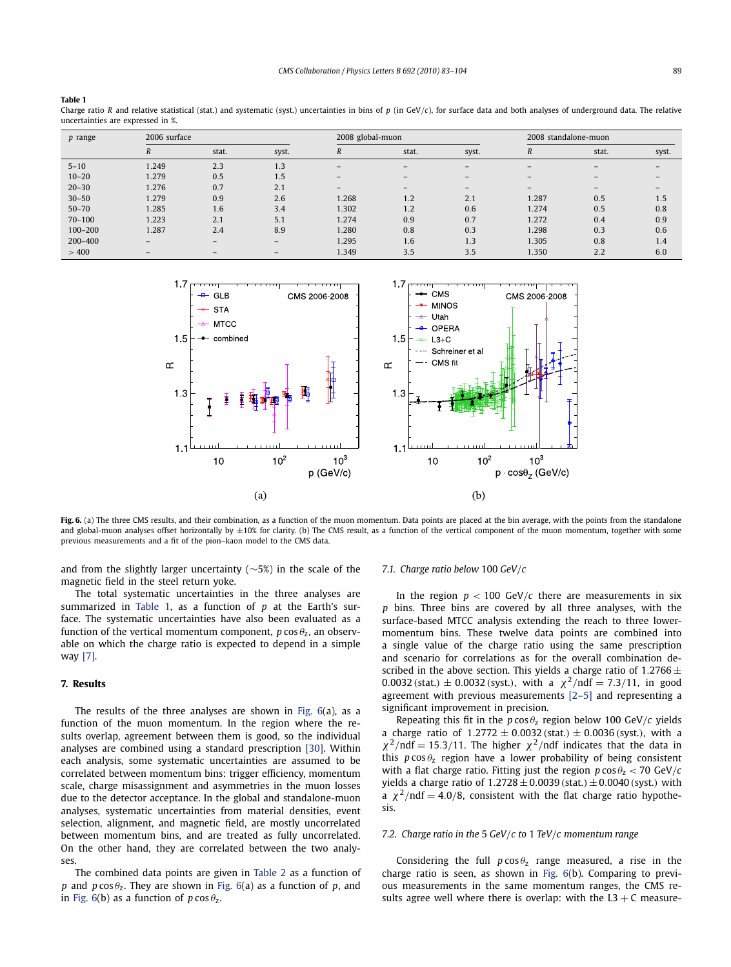#### <span id="page-6-0"></span>**Table 1**

Charge ratio *R* and relative statistical (stat.) and systematic (syst.) uncertainties in bins of  $p$  (in GeV/ $c$ ), for surface data and both analyses of underground data. The relative uncertainties are expressed in %.

| $p$ range   | 2006 surface      |                   |       | 2008 global-muon         |                          |       | 2008 standalone-muon |                          |                          |
|-------------|-------------------|-------------------|-------|--------------------------|--------------------------|-------|----------------------|--------------------------|--------------------------|
|             | R                 | stat.             | syst. | R                        | stat.                    | syst. | D<br>$\mathbf{v}$    | stat.                    | syst.                    |
| $5 - 10$    | 1.249             | 2.3               | 1.3   | $-$                      | $\qquad \qquad -$        | $-$   | $-$                  | $\qquad \qquad -$        | $\overline{\phantom{0}}$ |
| $10 - 20$   | 1.279             | 0.5               | 1.5   | $\overline{\phantom{0}}$ | -                        | -     | -                    | -                        |                          |
| $20 - 30$   | 1.276             | 0.7               | 2.1   | $-$                      | $\overline{\phantom{0}}$ | $-$   | $\qquad \qquad -$    | $\overline{\phantom{m}}$ |                          |
| $30 - 50$   | 1.279             | 0.9               | 2.6   | 1.268                    | 1.2                      | 2.1   | 1.287                | 0.5                      | 1.5                      |
| $50 - 70$   | 1.285             | 1.6               | 3.4   | 1.302                    | 1.2                      | 0.6   | 1.274                | 0.5                      | 0.8                      |
| $70 - 100$  | 1.223             | 2.1               | 5.1   | 1.274                    | 0.9                      | 0.7   | 1.272                | 0.4                      | 0.9                      |
| $100 - 200$ | 1.287             | 2.4               | 8.9   | 1.280                    | 0.8                      | 0.3   | 1.298                | 0.3                      | 0.6                      |
| 200-400     | $\qquad \qquad -$ | $\qquad \qquad -$ | $-$   | 1.295                    | 1.6                      | 1.3   | 1.305                | 0.8                      | 1.4                      |
| >400        | $-$               | $\qquad \qquad -$ | $-$   | 1.349                    | 3.5                      | 3.5   | 1.350                | 2.2                      | 6.0                      |



Fig. 6. (a) The three CMS results, and their combination, as a function of the muon momentum. Data points are placed at the bin average, with the points from the standalone and global-muon analyses offset horizontally by  $\pm 10\%$  for clarity. (b) The CMS result, as a function of the vertical component of the muon momentum, together with some previous measurements and a fit of the pion–kaon model to the CMS data.

and from the slightly larger uncertainty (∼5%) in the scale of the magnetic field in the steel return yoke.

The total systematic uncertainties in the three analyses are summarized in Table 1, as a function of *p* at the Earth's surface. The systematic uncertainties have also been evaluated as a function of the vertical momentum component,  $p \cos \theta_z$ , an observable on which the charge ratio is expected to depend in a simple way [\[7\].](#page-8-0)

#### **7. Results**

The results of the three analyses are shown in Fig. 6(a), as a function of the muon momentum. In the region where the results overlap, agreement between them is good, so the individual analyses are combined using a standard prescription [\[30\].](#page-8-0) Within each analysis, some systematic uncertainties are assumed to be correlated between momentum bins: trigger efficiency, momentum scale, charge misassignment and asymmetries in the muon losses due to the detector acceptance. In the global and standalone-muon analyses, systematic uncertainties from material densities, event selection, alignment, and magnetic field, are mostly uncorrelated between momentum bins, and are treated as fully uncorrelated. On the other hand, they are correlated between the two analyses.

The combined data points are given in [Table 2](#page-7-0) as a function of *p* and *p* cos  $\theta$ <sub>z</sub>. They are shown in Fig. 6(a) as a function of *p*, and in Fig. 6(b) as a function of  $p \cos \theta_7$ .

#### *7.1. Charge ratio below* 100 *GeV/c*

In the region  $p < 100$  GeV/*c* there are measurements in six *p* bins. Three bins are covered by all three analyses, with the surface-based MTCC analysis extending the reach to three lowermomentum bins. These twelve data points are combined into a single value of the charge ratio using the same prescription and scenario for correlations as for the overall combination described in the above section. This yields a charge ratio of 1*.*2766 ± 0.0032 *(stat.)*  $\pm$  0.0032 *(syst.)*, with a  $\chi^2/\text{ndf} = 7.3/11$ , in good agreement with previous measurements [\[2–5\]](#page-7-0) and representing a significant improvement in precision.

Repeating this fit in the  $p \cos \theta$ <sub>z</sub> region below 100 GeV/*c* yields a charge ratio of  $1.2772 \pm 0.0032$  *(stat.)*  $\pm 0.0036$  *(syst.), with a χ*<sup>2</sup>/ndf = 15.3/11. The higher *χ*<sup>2</sup>/ndf indicates that the data in this  $p \cos \theta$ <sub>z</sub> region have a lower probability of being consistent with a flat charge ratio. Fitting just the region  $p \cos \theta_z < 70$  GeV/*c* yields a charge ratio of  $1.2728 \pm 0.0039$  *(stat.)*  $\pm 0.0040$  *(syst.)* with a  $\chi^2$ /ndf = 4.0/8, consistent with the flat charge ratio hypothesis.

#### *7.2. Charge ratio in the* 5 *GeV/c to* 1 *TeV/c momentum range*

Considering the full  $p \cos \theta_z$  range measured, a rise in the charge ratio is seen, as shown in Fig. 6(b). Comparing to previous measurements in the same momentum ranges, the CMS results agree well where there is overlap: with the  $L3 + C$  measure-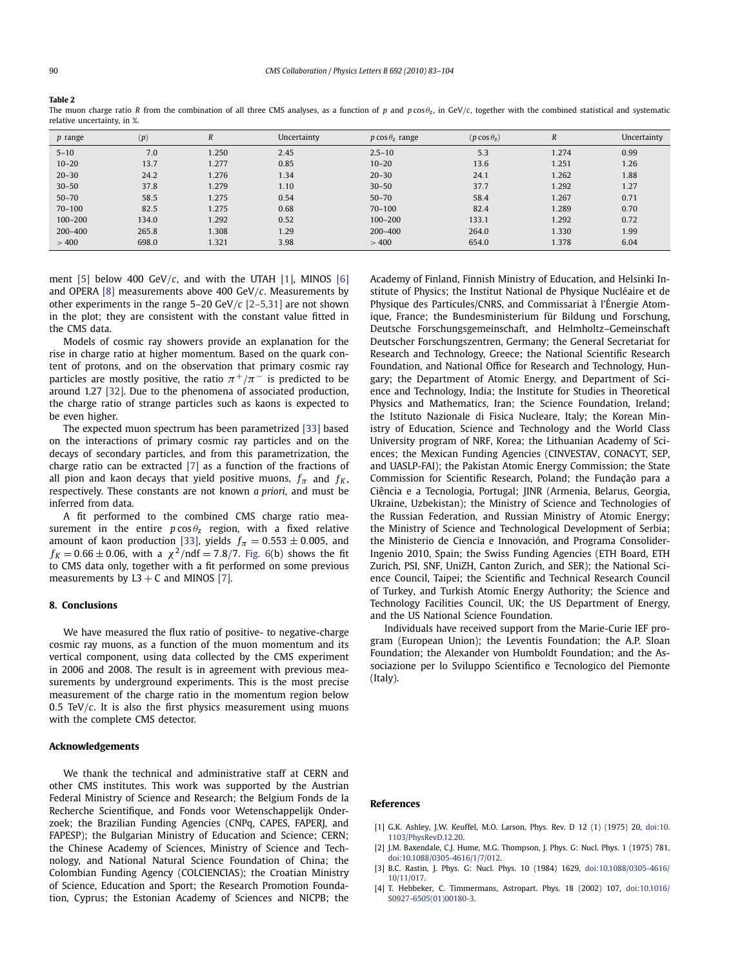<span id="page-7-0"></span>

**Table 2**

| p range     | $\langle p \rangle$ | $\boldsymbol{R}$ | Uncertainty | p cos $\theta$ <sub>z</sub> range | $\langle p \cos \theta_z \rangle$ | $\boldsymbol{R}$ | Uncertainty |
|-------------|---------------------|------------------|-------------|-----------------------------------|-----------------------------------|------------------|-------------|
| $5 - 10$    | 7.0                 | 1.250            | 2.45        | $2.5 - 10$                        | 5.3                               | 1.274            | 0.99        |
| $10 - 20$   | 13.7                | 1.277            | 0.85        | $10 - 20$                         | 13.6                              | 1.251            | 1.26        |
| $20 - 30$   | 24.2                | 1.276            | 1.34        | $20 - 30$                         | 24.1                              | 1.262            | 1.88        |
| $30 - 50$   | 37.8                | 1.279            | 1.10        | $30 - 50$                         | 37.7                              | 1.292            | 1.27        |
| $50 - 70$   | 58.5                | 1.275            | 0.54        | $50 - 70$                         | 58.4                              | 1.267            | 0.71        |
| $70 - 100$  | 82.5                | 1.275            | 0.68        | $70 - 100$                        | 82.4                              | 1.289            | 0.70        |
| $100 - 200$ | 134.0               | 1.292            | 0.52        | $100 - 200$                       | 133.1                             | 1.292            | 0.72        |
| 200-400     | 265.8               | 1.308            | 1.29        | 200-400                           | 264.0                             | 1.330            | 1.99        |
| >400        | 698.0               | 1.321            | 3.98        | >400                              | 654.0                             | 1.378            | 6.04        |

The muon charge ratio *R* from the combination of all three CMS analyses, as a function of *p* and  $p \cos \theta_z$ , in GeV/*c*, together with the combined statistical and systematic relative uncertainty, in %.

ment [\[5\]](#page-8-0) below 400 GeV*/c*, and with the UTAH [1], MINOS [\[6\]](#page-8-0) and OPERA [\[8\]](#page-8-0) measurements above 400 GeV*/c*. Measurements by other experiments in the range 5–20 GeV*/c* [2–5,31] are not shown in the plot; they are consistent with the constant value fitted in the CMS data.

Models of cosmic ray showers provide an explanation for the rise in charge ratio at higher momentum. Based on the quark content of protons, and on the observation that primary cosmic ray particles are mostly positive, the ratio  $\pi^+/\pi^-$  is predicted to be around 1.27 [\[32\].](#page-8-0) Due to the phenomena of associated production, the charge ratio of strange particles such as kaons is expected to be even higher.

The expected muon spectrum has been parametrized [\[33\]](#page-8-0) based on the interactions of primary cosmic ray particles and on the decays of secondary particles, and from this parametrization, the charge ratio can be extracted [\[7\]](#page-8-0) as a function of the fractions of all pion and kaon decays that yield positive muons,  $f_{\pi}$  and  $f_K$ , respectively. These constants are not known *a priori*, and must be inferred from data.

A fit performed to the combined CMS charge ratio measurement in the entire  $p \cos \theta_z$  region, with a fixed relative amount of kaon production [\[33\],](#page-8-0) yields  $f_\pi = 0.553 \pm 0.005$ , and  $f_K = 0.66 \pm 0.06$ , with a  $\chi^2/\text{ndf} = 7.8/7$ . [Fig. 6\(](#page-6-0)b) shows the fit to CMS data only, together with a fit performed on some previous measurements by  $L3 + C$  and MINOS [\[7\].](#page-8-0)

#### **8. Conclusions**

We have measured the flux ratio of positive- to negative-charge cosmic ray muons, as a function of the muon momentum and its vertical component, using data collected by the CMS experiment in 2006 and 2008. The result is in agreement with previous measurements by underground experiments. This is the most precise measurement of the charge ratio in the momentum region below 0*.*5 TeV*/c*. It is also the first physics measurement using muons with the complete CMS detector.

#### **Acknowledgements**

We thank the technical and administrative staff at CERN and other CMS institutes. This work was supported by the Austrian Federal Ministry of Science and Research; the Belgium Fonds de la Recherche Scientifique, and Fonds voor Wetenschappelijk Onderzoek; the Brazilian Funding Agencies (CNPq, CAPES, FAPERJ, and FAPESP); the Bulgarian Ministry of Education and Science; CERN; the Chinese Academy of Sciences, Ministry of Science and Technology, and National Natural Science Foundation of China; the Colombian Funding Agency (COLCIENCIAS); the Croatian Ministry of Science, Education and Sport; the Research Promotion Foundation, Cyprus; the Estonian Academy of Sciences and NICPB; the

Academy of Finland, Finnish Ministry of Education, and Helsinki Institute of Physics; the Institut National de Physique Nucléaire et de Physique des Particules/CNRS, and Commissariat à l'Énergie Atomique, France; the Bundesministerium für Bildung und Forschung, Deutsche Forschungsgemeinschaft, and Helmholtz–Gemeinschaft Deutscher Forschungszentren, Germany; the General Secretariat for Research and Technology, Greece; the National Scientific Research Foundation, and National Office for Research and Technology, Hungary; the Department of Atomic Energy, and Department of Science and Technology, India; the Institute for Studies in Theoretical Physics and Mathematics, Iran; the Science Foundation, Ireland; the Istituto Nazionale di Fisica Nucleare, Italy; the Korean Ministry of Education, Science and Technology and the World Class University program of NRF, Korea; the Lithuanian Academy of Sciences; the Mexican Funding Agencies (CINVESTAV, CONACYT, SEP, and UASLP-FAI); the Pakistan Atomic Energy Commission; the State Commission for Scientific Research, Poland; the Fundação para a Ciência e a Tecnologia, Portugal; JINR (Armenia, Belarus, Georgia, Ukraine, Uzbekistan); the Ministry of Science and Technologies of the Russian Federation, and Russian Ministry of Atomic Energy; the Ministry of Science and Technological Development of Serbia; the Ministerio de Ciencia e Innovación, and Programa Consolider-Ingenio 2010, Spain; the Swiss Funding Agencies (ETH Board, ETH Zurich, PSI, SNF, UniZH, Canton Zurich, and SER); the National Science Council, Taipei; the Scientific and Technical Research Council of Turkey, and Turkish Atomic Energy Authority; the Science and Technology Facilities Council, UK; the US Department of Energy, and the US National Science Foundation.

Individuals have received support from the Marie-Curie IEF program (European Union); the Leventis Foundation; the A.P. Sloan Foundation; the Alexander von Humboldt Foundation; and the Associazione per lo Sviluppo Scientifico e Tecnologico del Piemonte (Italy).

#### **References**

- [1] G.K. Ashley, J.W. Keuffel, M.O. Larson, Phys. Rev. D 12 (1) (1975) 20, [doi:10.](http://dx.doi.org/10.1103/PhysRevD.12.20) [1103/PhysRevD.12.20](http://dx.doi.org/10.1103/PhysRevD.12.20).
- [2] J.M. Baxendale, C.J. Hume, M.G. Thompson, J. Phys. G: Nucl. Phys. 1 (1975) 781, [doi:10.1088/0305-4616/1/7/012](http://dx.doi.org/10.1088/0305-4616/1/7/012).
- [3] B.C. Rastin, J. Phys. G: Nucl. Phys. 10 (1984) 1629, [doi:10.1088/0305-4616/](http://dx.doi.org/10.1088/0305-4616/10/11/017) [10/11/017.](http://dx.doi.org/10.1088/0305-4616/10/11/017)
- [4] T. Hebbeker, C. Timmermans, Astropart. Phys. 18 (2002) 107, [doi:10.1016/](http://dx.doi.org/10.1016/S0927-6505(01)00180-3) [S0927-6505\(01\)00180-3.](http://dx.doi.org/10.1016/S0927-6505(01)00180-3)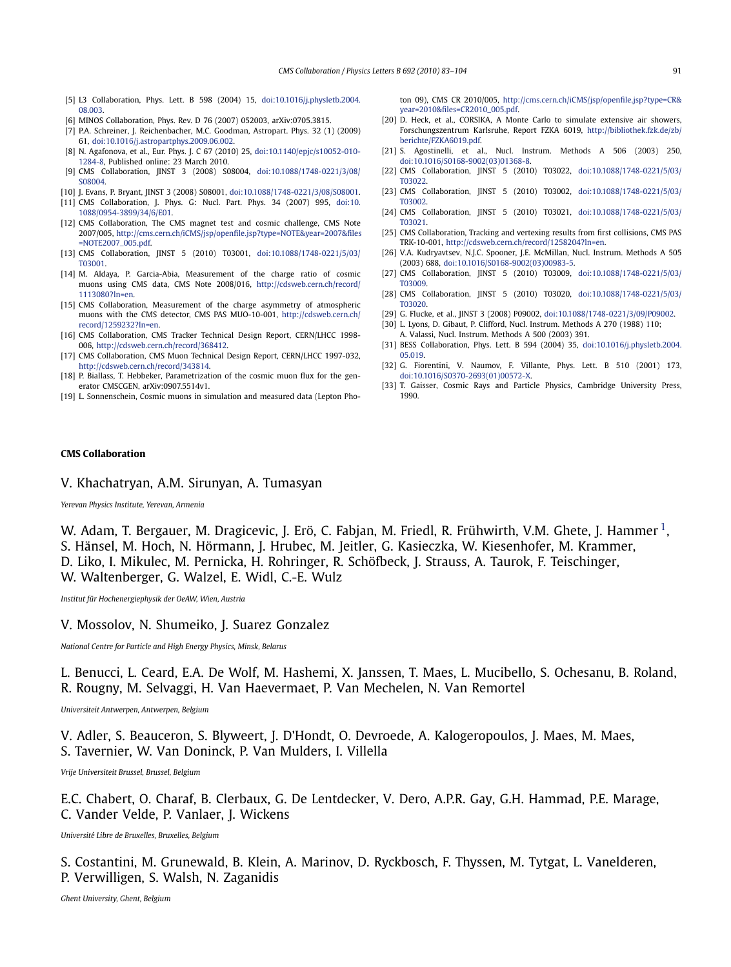- <span id="page-8-0"></span>[5] L3 Collaboration, Phys. Lett. B 598 (2004) 15, [doi:10.1016/j.physletb.2004.](http://dx.doi.org/10.1016/j.physletb.2004.08.003) [08.003](http://dx.doi.org/10.1016/j.physletb.2004.08.003).
- [6] MINOS Collaboration, Phys. Rev. D 76 (2007) 052003, arXiv:0705.3815.
- [7] P.A. Schreiner, J. Reichenbacher, M.C. Goodman, Astropart. Phys. 32 (1) (2009) 61, [doi:10.1016/j.astropartphys.2009.06.002.](http://dx.doi.org/10.1016/j.astropartphys.2009.06.002)
- [8] N. Agafonova, et al., Eur. Phys. J. C 67 (2010) 25, [doi:10.1140/epjc/s10052-010-](http://dx.doi.org/10.1140/epjc/s10052-010-1284-8) [1284-8](http://dx.doi.org/10.1140/epjc/s10052-010-1284-8), Published online: 23 March 2010.
- [9] CMS Collaboration, JINST 3 (2008) S08004, [doi:10.1088/1748-0221/3/08/](http://dx.doi.org/10.1088/1748-0221/3/08/S08004) [S08004](http://dx.doi.org/10.1088/1748-0221/3/08/S08004).
- [10] J. Evans, P. Bryant, JINST 3 (2008) S08001, [doi:10.1088/1748-0221/3/08/S08001.](http://dx.doi.org/10.1088/1748-0221/3/08/S08001)
- [11] CMS Collaboration, J. Phys. G: Nucl. Part. Phys. 34 (2007) 995, [doi:10.](http://dx.doi.org/10.1088/0954-3899/34/6/E01) [1088/0954-3899/34/6/E01](http://dx.doi.org/10.1088/0954-3899/34/6/E01).
- [12] CMS Collaboration, The CMS magnet test and cosmic challenge, CMS Note 2007/005, [http://cms.cern.ch/iCMS/jsp/openfile.jsp?type=NOTE&year=2007&files](http://cms.cern.ch/iCMS/jsp/openfile.jsp?type=NOTE&year=2007&files=NOTE2007_005.pdf) [=NOTE2007\\_005.pdf.](http://cms.cern.ch/iCMS/jsp/openfile.jsp?type=NOTE&year=2007&files=NOTE2007_005.pdf)
- [13] CMS Collaboration, JINST 5 (2010) T03001, [doi:10.1088/1748-0221/5/03/](http://dx.doi.org/10.1088/1748-0221/5/03/T03001) [T03001](http://dx.doi.org/10.1088/1748-0221/5/03/T03001).
- [14] M. Aldaya, P. Garcia-Abia, Measurement of the charge ratio of cosmic muons using CMS data, CMS Note 2008/016, [http://cdsweb.cern.ch/record/](http://cdsweb.cern.ch/record/1113080?ln=en) [1113080?ln=en.](http://cdsweb.cern.ch/record/1113080?ln=en)
- [15] CMS Collaboration, Measurement of the charge asymmetry of atmospheric muons with the CMS detector, CMS PAS MUO-10-001, [http://cdsweb.cern.ch/](http://cdsweb.cern.ch/record/1259232?ln=en) [record/1259232?ln=en.](http://cdsweb.cern.ch/record/1259232?ln=en)
- [16] CMS Collaboration, CMS Tracker Technical Design Report, CERN/LHCC 1998-006, <http://cdsweb.cern.ch/record/368412>.
- [17] CMS Collaboration, CMS Muon Technical Design Report, CERN/LHCC 1997-032, [http://cdsweb.cern.ch/record/343814.](http://cdsweb.cern.ch/record/343814)
- [18] P. Biallass, T. Hebbeker, Parametrization of the cosmic muon flux for the generator CMSCGEN, arXiv:0907.5514v1.
- [19] L. Sonnenschein, Cosmic muons in simulation and measured data (Lepton Pho-
- ton 09), CMS CR 2010/005, [http://cms.cern.ch/iCMS/jsp/openfile.jsp?type=CR&](http://cms.cern.ch/iCMS/jsp/openfile.jsp?type=CR&year=2010&files=CR2010_005.pdf) [year=2010&files=CR2010\\_005.pdf.](http://cms.cern.ch/iCMS/jsp/openfile.jsp?type=CR&year=2010&files=CR2010_005.pdf)
- [20] D. Heck, et al., CORSIKA, A Monte Carlo to simulate extensive air showers, Forschungszentrum Karlsruhe, Report FZKA 6019, [http://bibliothek.fzk.de/zb/](http://bibliothek.fzk.de/zb/berichte/FZKA6019.pdf) [berichte/FZKA6019.pdf.](http://bibliothek.fzk.de/zb/berichte/FZKA6019.pdf)
- [21] S. Agostinelli, et al., Nucl. Instrum. Methods A 506 (2003) 250, [doi:10.1016/S0168-9002\(03\)01368-8](http://dx.doi.org/10.1016/S0168-9002(03)01368-8).
- [22] CMS Collaboration, JINST 5 (2010) T03022, [doi:10.1088/1748-0221/5/03/](http://dx.doi.org/10.1088/1748-0221/5/03/T03022) [T03022](http://dx.doi.org/10.1088/1748-0221/5/03/T03022).
- [23] CMS Collaboration, JINST 5 (2010) T03002, [doi:10.1088/1748-0221/5/03/](http://dx.doi.org/10.1088/1748-0221/5/03/T03002) [T03002](http://dx.doi.org/10.1088/1748-0221/5/03/T03002).
- [24] CMS Collaboration, JINST 5 (2010) T03021, [doi:10.1088/1748-0221/5/03/](http://dx.doi.org/10.1088/1748-0221/5/03/T03021) [T03021](http://dx.doi.org/10.1088/1748-0221/5/03/T03021).
- [25] CMS Collaboration, Tracking and vertexing results from first collisions, CMS PAS TRK-10-001, [http://cdsweb.cern.ch/record/1258204?ln=en.](http://cdsweb.cern.ch/record/1258204?ln=en)
- [26] V.A. Kudryavtsev, N.J.C. Spooner, J.E. McMillan, Nucl. Instrum. Methods A 505 (2003) 688, [doi:10.1016/S0168-9002\(03\)00983-5.](http://dx.doi.org/10.1016/S0168-9002(03)00983-5)
- [27] CMS Collaboration, JINST 5 (2010) T03009, [doi:10.1088/1748-0221/5/03/](http://dx.doi.org/10.1088/1748-0221/5/03/T03009) [T03009](http://dx.doi.org/10.1088/1748-0221/5/03/T03009).
- [28] CMS Collaboration, JINST 5 (2010) T03020, [doi:10.1088/1748-0221/5/03/](http://dx.doi.org/10.1088/1748-0221/5/03/T03020) [T03020](http://dx.doi.org/10.1088/1748-0221/5/03/T03020).
- [29] G. Flucke, et al., JINST 3 (2008) P09002, [doi:10.1088/1748-0221/3/09/P09002.](http://dx.doi.org/10.1088/1748-0221/3/09/P09002)
- [30] L. Lyons, D. Gibaut, P. Clifford, Nucl. Instrum. Methods A 270 (1988) 110; A. Valassi, Nucl. Instrum. Methods A 500 (2003) 391.
- [31] BESS Collaboration, Phys. Lett. B 594 (2004) 35, [doi:10.1016/j.physletb.2004.](http://dx.doi.org/10.1016/j.physletb.2004.05.019)
- [05.019](http://dx.doi.org/10.1016/j.physletb.2004.05.019). [32] G. Fiorentini, V. Naumov, F. Villante, Phys. Lett. B 510 (2001) 173,
- [doi:10.1016/S0370-2693\(01\)00572-X.](http://dx.doi.org/10.1016/S0370-2693(01)00572-X)
- [33] T. Gaisser, Cosmic Rays and Particle Physics, Cambridge University Press, 1990.

#### **CMS Collaboration**

#### V. Khachatryan, A.M. Sirunyan, A. Tumasyan

*Yerevan Physics Institute, Yerevan, Armenia*

W. Adam, T. Bergauer, M. Dragicevic, J. Erö, C. Fabjan, M. Friedl, R. Frühwirth, V.M. Ghete, J. Hammer<sup>1</sup>, S. Hänsel, M. Hoch, N. Hörmann, J. Hrubec, M. Jeitler, G. Kasieczka, W. Kiesenhofer, M. Krammer, D. Liko, I. Mikulec, M. Pernicka, H. Rohringer, R. Schöfbeck, J. Strauss, A. Taurok, F. Teischinger, W. Waltenberger, G. Walzel, E. Widl, C.-E. Wulz

*Institut für Hochenergiephysik der OeAW, Wien, Austria*

#### V. Mossolov, N. Shumeiko, J. Suarez Gonzalez

*National Centre for Particle and High Energy Physics, Minsk, Belarus*

L. Benucci, L. Ceard, E.A. De Wolf, M. Hashemi, X. Janssen, T. Maes, L. Mucibello, S. Ochesanu, B. Roland, R. Rougny, M. Selvaggi, H. Van Haevermaet, P. Van Mechelen, N. Van Remortel

*Universiteit Antwerpen, Antwerpen, Belgium*

V. Adler, S. Beauceron, S. Blyweert, J. D'Hondt, O. Devroede, A. Kalogeropoulos, J. Maes, M. Maes, S. Tavernier, W. Van Doninck, P. Van Mulders, I. Villella

*Vrije Universiteit Brussel, Brussel, Belgium*

E.C. Chabert, O. Charaf, B. Clerbaux, G. De Lentdecker, V. Dero, A.P.R. Gay, G.H. Hammad, P.E. Marage, C. Vander Velde, P. Vanlaer, J. Wickens

*Université Libre de Bruxelles, Bruxelles, Belgium*

S. Costantini, M. Grunewald, B. Klein, A. Marinov, D. Ryckbosch, F. Thyssen, M. Tytgat, L. Vanelderen, P. Verwilligen, S. Walsh, N. Zaganidis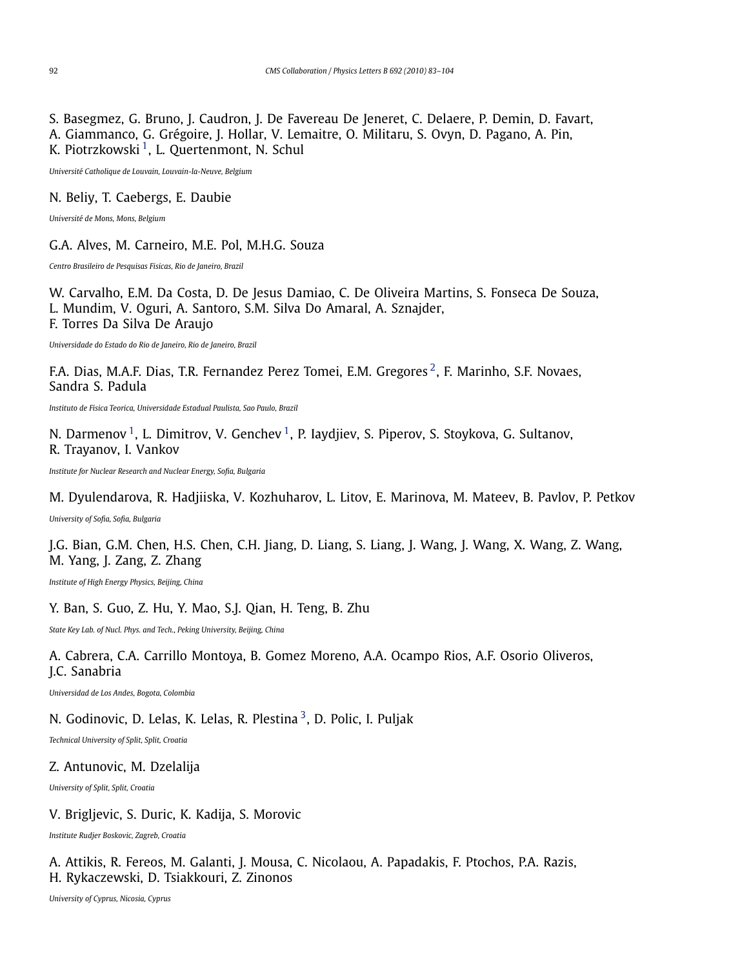S. Basegmez, G. Bruno, J. Caudron, J. De Favereau De Jeneret, C. Delaere, P. Demin, D. Favart, A. Giammanco, G. Grégoire, J. Hollar, V. Lemaitre, O. Militaru, S. Ovyn, D. Pagano, A. Pin, K. Piotrzkowski<sup>1</sup>, L. Quertenmont, N. Schul

*Université Catholique de Louvain, Louvain-la-Neuve, Belgium*

# N. Beliy, T. Caebergs, E. Daubie

*Université de Mons, Mons, Belgium*

G.A. Alves, M. Carneiro, M.E. Pol, M.H.G. Souza

*Centro Brasileiro de Pesquisas Fisicas, Rio de Janeiro, Brazil*

W. Carvalho, E.M. Da Costa, D. De Jesus Damiao, C. De Oliveira Martins, S. Fonseca De Souza, L. Mundim, V. Oguri, A. Santoro, S.M. Silva Do Amaral, A. Sznajder, F. Torres Da Silva De Araujo

*Universidade do Estado do Rio de Janeiro, Rio de Janeiro, Brazil*

F.A. Dias, M.A.F. Dias, T.R. Fernandez Perez Tomei, E.M. Gregores<sup>[2](#page-21-0)</sup>, F. Marinho, S.F. Novaes, Sandra S. Padula

*Instituto de Fisica Teorica, Universidade Estadual Paulista, Sao Paulo, Brazil*

N. Darmenov<sup>1</sup>, L. Dimitrov, V. Genchev<sup>1</sup>, P. Iaydjiev, S. Piperov, S. Stoykova, G. Sultanov, R. Trayanov, I. Vankov

*Institute for Nuclear Research and Nuclear Energy, Sofia, Bulgaria*

# M. Dyulendarova, R. Hadjiiska, V. Kozhuharov, L. Litov, E. Marinova, M. Mateev, B. Pavlov, P. Petkov

*University of Sofia, Sofia, Bulgaria*

J.G. Bian, G.M. Chen, H.S. Chen, C.H. Jiang, D. Liang, S. Liang, J. Wang, J. Wang, X. Wang, Z. Wang, M. Yang, J. Zang, Z. Zhang

*Institute of High Energy Physics, Beijing, China*

# Y. Ban, S. Guo, Z. Hu, Y. Mao, S.J. Qian, H. Teng, B. Zhu

*State Key Lab. of Nucl. Phys. and Tech., Peking University, Beijing, China*

# A. Cabrera, C.A. Carrillo Montoya, B. Gomez Moreno, A.A. Ocampo Rios, A.F. Osorio Oliveros, J.C. Sanabria

*Universidad de Los Andes, Bogota, Colombia*

# N. Godinovic, D. Lelas, K. Lelas, R. Plestina<sup>3</sup>, D. Polic, I. Puljak

*Technical University of Split, Split, Croatia*

#### Z. Antunovic, M. Dzelalija

*University of Split, Split, Croatia*

### V. Brigljevic, S. Duric, K. Kadija, S. Morovic

*Institute Rudjer Boskovic, Zagreb, Croatia*

A. Attikis, R. Fereos, M. Galanti, J. Mousa, C. Nicolaou, A. Papadakis, F. Ptochos, P.A. Razis, H. Rykaczewski, D. Tsiakkouri, Z. Zinonos

*University of Cyprus, Nicosia, Cyprus*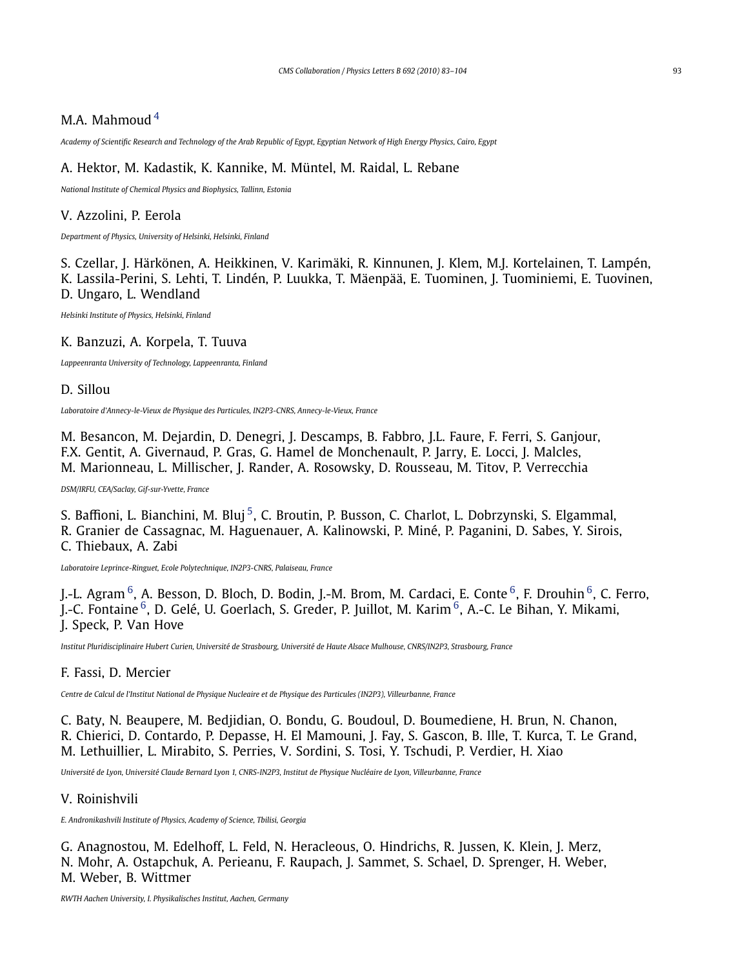# M.A. Mahmoud [4](#page-21-0)

*Academy of Scientific Research and Technology of the Arab Republic of Egypt, Egyptian Network of High Energy Physics, Cairo, Egypt*

# A. Hektor, M. Kadastik, K. Kannike, M. Müntel, M. Raidal, L. Rebane

*National Institute of Chemical Physics and Biophysics, Tallinn, Estonia*

# V. Azzolini, P. Eerola

*Department of Physics, University of Helsinki, Helsinki, Finland*

S. Czellar, J. Härkönen, A. Heikkinen, V. Karimäki, R. Kinnunen, J. Klem, M.J. Kortelainen, T. Lampén, K. Lassila-Perini, S. Lehti, T. Lindén, P. Luukka, T. Mäenpää, E. Tuominen, J. Tuominiemi, E. Tuovinen, D. Ungaro, L. Wendland

*Helsinki Institute of Physics, Helsinki, Finland*

# K. Banzuzi, A. Korpela, T. Tuuva

*Lappeenranta University of Technology, Lappeenranta, Finland*

#### D. Sillou

*Laboratoire d'Annecy-le-Vieux de Physique des Particules, IN2P3-CNRS, Annecy-le-Vieux, France*

M. Besancon, M. Dejardin, D. Denegri, J. Descamps, B. Fabbro, J.L. Faure, F. Ferri, S. Ganjour, F.X. Gentit, A. Givernaud, P. Gras, G. Hamel de Monchenault, P. Jarry, E. Locci, J. Malcles, M. Marionneau, L. Millischer, J. Rander, A. Rosowsky, D. Rousseau, M. Titov, P. Verrecchia

*DSM/IRFU, CEA/Saclay, Gif-sur-Yvette, France*

S. Baffioni, L. Bianchini, M. Bluj<sup>5</sup>, C. Broutin, P. Busson, C. Charlot, L. Dobrzynski, S. Elgammal, R. Granier de Cassagnac, M. Haguenauer, A. Kalinowski, P. Miné, P. Paganini, D. Sabes, Y. Sirois, C. Thiebaux, A. Zabi

*Laboratoire Leprince-Ringuet, Ecole Polytechnique, IN2P3-CNRS, Palaiseau, France*

J.-L. Agram <sup>6</sup>, A. Besson, D. Bloch, D. Bodin, J.-M. Brom, M. Cardaci, E. Conte <sup>6</sup>, F. Drouhin <sup>6</sup>, C. Ferro, J.-C. Fontaine <sup>6</sup>, D. Gelé, U. Goerlach, S. Greder, P. Juillot, M. Karim <sup>6</sup>, A.-C. Le Bihan, Y. Mikami, J. Speck, P. Van Hove

*Institut Pluridisciplinaire Hubert Curien, Université de Strasbourg, Université de Haute Alsace Mulhouse, CNRS/IN2P3, Strasbourg, France*

### F. Fassi, D. Mercier

*Centre de Calcul de l'Institut National de Physique Nucleaire et de Physique des Particules (IN2P3), Villeurbanne, France*

C. Baty, N. Beaupere, M. Bedjidian, O. Bondu, G. Boudoul, D. Boumediene, H. Brun, N. Chanon, R. Chierici, D. Contardo, P. Depasse, H. El Mamouni, J. Fay, S. Gascon, B. Ille, T. Kurca, T. Le Grand, M. Lethuillier, L. Mirabito, S. Perries, V. Sordini, S. Tosi, Y. Tschudi, P. Verdier, H. Xiao

*Université de Lyon, Université Claude Bernard Lyon 1, CNRS-IN2P3, Institut de Physique Nucléaire de Lyon, Villeurbanne, France*

### V. Roinishvili

*E. Andronikashvili Institute of Physics, Academy of Science, Tbilisi, Georgia*

G. Anagnostou, M. Edelhoff, L. Feld, N. Heracleous, O. Hindrichs, R. Jussen, K. Klein, J. Merz, N. Mohr, A. Ostapchuk, A. Perieanu, F. Raupach, J. Sammet, S. Schael, D. Sprenger, H. Weber, M. Weber, B. Wittmer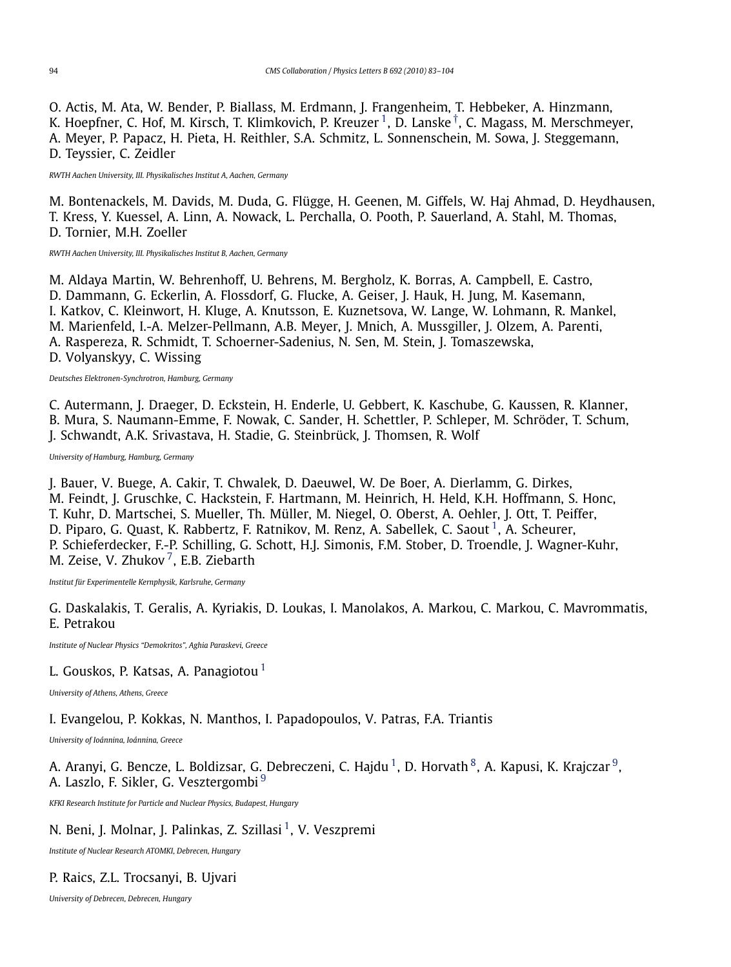O. Actis, M. Ata, W. Bender, P. Biallass, M. Erdmann, J. Frangenheim, T. Hebbeker, A. Hinzmann, K. Hoepfner, C. Hof, M. Kirsch, T. Klimkovich, P. Kreuzer<sup>1</sup>, D. Lanske<sup>†</sup>, C. Magass, M. Merschmeyer, A. Meyer, P. Papacz, H. Pieta, H. Reithler, S.A. Schmitz, L. Sonnenschein, M. Sowa, J. Steggemann, D. Teyssier, C. Zeidler

*RWTH Aachen University, III. Physikalisches Institut A, Aachen, Germany*

M. Bontenackels, M. Davids, M. Duda, G. Flügge, H. Geenen, M. Giffels, W. Haj Ahmad, D. Heydhausen, T. Kress, Y. Kuessel, A. Linn, A. Nowack, L. Perchalla, O. Pooth, P. Sauerland, A. Stahl, M. Thomas, D. Tornier, M.H. Zoeller

*RWTH Aachen University, III. Physikalisches Institut B, Aachen, Germany*

M. Aldaya Martin, W. Behrenhoff, U. Behrens, M. Bergholz, K. Borras, A. Campbell, E. Castro, D. Dammann, G. Eckerlin, A. Flossdorf, G. Flucke, A. Geiser, J. Hauk, H. Jung, M. Kasemann, I. Katkov, C. Kleinwort, H. Kluge, A. Knutsson, E. Kuznetsova, W. Lange, W. Lohmann, R. Mankel, M. Marienfeld, I.-A. Melzer-Pellmann, A.B. Meyer, J. Mnich, A. Mussgiller, J. Olzem, A. Parenti, A. Raspereza, R. Schmidt, T. Schoerner-Sadenius, N. Sen, M. Stein, J. Tomaszewska, D. Volyanskyy, C. Wissing

*Deutsches Elektronen-Synchrotron, Hamburg, Germany*

C. Autermann, J. Draeger, D. Eckstein, H. Enderle, U. Gebbert, K. Kaschube, G. Kaussen, R. Klanner, B. Mura, S. Naumann-Emme, F. Nowak, C. Sander, H. Schettler, P. Schleper, M. Schröder, T. Schum, J. Schwandt, A.K. Srivastava, H. Stadie, G. Steinbrück, J. Thomsen, R. Wolf

*University of Hamburg, Hamburg, Germany*

J. Bauer, V. Buege, A. Cakir, T. Chwalek, D. Daeuwel, W. De Boer, A. Dierlamm, G. Dirkes, M. Feindt, J. Gruschke, C. Hackstein, F. Hartmann, M. Heinrich, H. Held, K.H. Hoffmann, S. Honc, T. Kuhr, D. Martschei, S. Mueller, Th. Müller, M. Niegel, O. Oberst, A. Oehler, J. Ott, T. Peiffer, D. Piparo, G. Quast, K. Rabbertz, F. Ratnikov, M. Renz, A. Sabellek, C. Saout<sup>1</sup>, A. Scheurer, P. Schieferdecker, F.-P. Schilling, G. Schott, H.J. Simonis, F.M. Stober, D. Troendle, J. Wagner-Kuhr, M. Zeise, V. Zhukov<sup>7</sup>, E.B. Ziebarth

*Institut für Experimentelle Kernphysik, Karlsruhe, Germany*

G. Daskalakis, T. Geralis, A. Kyriakis, D. Loukas, I. Manolakos, A. Markou, C. Markou, C. Mavrommatis, E. Petrakou

*Institute of Nuclear Physics "Demokritos", Aghia Paraskevi, Greece*

# L. Gouskos, P. Katsas, A. Panagiotou<sup>[1](#page-21-0)</sup>

*University of Athens, Athens, Greece*

# I. Evangelou, P. Kokkas, N. Manthos, I. Papadopoulos, V. Patras, F.A. Triantis

*University of Ioánnina, Ioánnina, Greece*

# A. Aranyi, G. Bencze, L. Boldizsar, G. Debreczeni, C. Hajdu <sup>1</sup>, D. Horvath <sup>8</sup>, A. Kapusi, K. Krajczar <sup>9</sup>, A. Laszlo, F. Sikler, G. Vesztergombi [9](#page-21-0)

*KFKI Research Institute for Particle and Nuclear Physics, Budapest, Hungary*

# N. Beni, J. Molnar, J. Palinkas, Z. Szillasi<sup>1</sup>, V. Veszpremi

*Institute of Nuclear Research ATOMKI, Debrecen, Hungary*

# P. Raics, Z.L. Trocsanyi, B. Ujvari

*University of Debrecen, Debrecen, Hungary*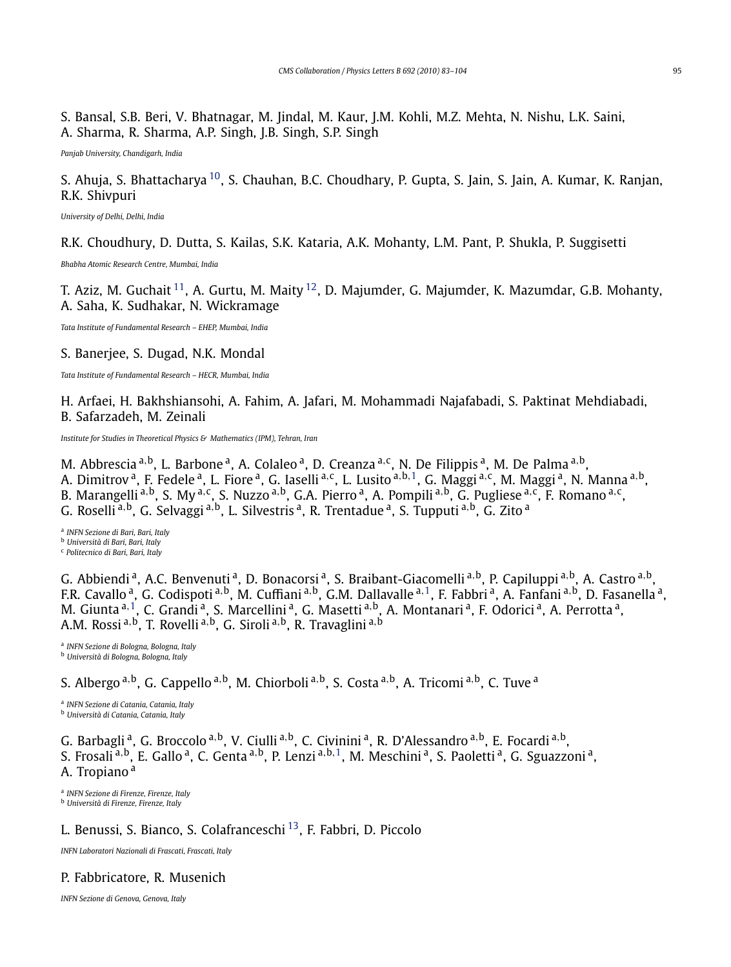S. Bansal, S.B. Beri, V. Bhatnagar, M. Jindal, M. Kaur, J.M. Kohli, M.Z. Mehta, N. Nishu, L.K. Saini, A. Sharma, R. Sharma, A.P. Singh, J.B. Singh, S.P. Singh

*Panjab University, Chandigarh, India*

S. Ahuja, S. Bhattacharya <sup>10</sup>, S. Chauhan, B.C. Choudhary, P. Gupta, S. Jain, S. Jain, A. Kumar, K. Ranjan, R.K. Shivpuri

*University of Delhi, Delhi, India*

R.K. Choudhury, D. Dutta, S. Kailas, S.K. Kataria, A.K. Mohanty, L.M. Pant, P. Shukla, P. Suggisetti

*Bhabha Atomic Research Centre, Mumbai, India*

T. Aziz, M. Guchait<sup>11</sup>, A. Gurtu, M. Maity<sup>12</sup>, D. Majumder, G. Majumder, K. Mazumdar, G.B. Mohanty, A. Saha, K. Sudhakar, N. Wickramage

*Tata Institute of Fundamental Research – EHEP, Mumbai, India*

### S. Banerjee, S. Dugad, N.K. Mondal

*Tata Institute of Fundamental Research – HECR, Mumbai, India*

H. Arfaei, H. Bakhshiansohi, A. Fahim, A. Jafari, M. Mohammadi Najafabadi, S. Paktinat Mehdiabadi, B. Safarzadeh, M. Zeinali

*Institute for Studies in Theoretical Physics & Mathematics (IPM), Tehran, Iran*

M. Abbrescia a, b, L. Barbone a, A. Colaleo a, D. Creanza a, c, N. De Filippis a, M. De Palma a, b, A. Dimitrov<sup>a</sup>, F. Fedele<sup>a</sup>, L. Fiore<sup>a</sup>, G. Iaselli<sup>a,c</sup>, L. Lusito<sup>a,b,[1](#page-21-0)</sup>, G. Maggi<sup>a,c</sup>, M. Maggi<sup>a</sup>, N. Manna a<sup>,b</sup>, B. Marangelli <sup>a</sup>*,*b, S. My <sup>a</sup>*,*c, S. Nuzzo <sup>a</sup>*,*b, G.A. Pierro a, A. Pompili <sup>a</sup>*,*b, G. Pugliese <sup>a</sup>*,*c, F. Romano <sup>a</sup>*,*c, G. Roselli <sup>a</sup>*,*b, G. Selvaggi <sup>a</sup>*,*b, L. Silvestris a, R. Trentadue a, S. Tupputi <sup>a</sup>*,*b, G. Zito <sup>a</sup>

<sup>a</sup> *INFN Sezione di Bari, Bari, Italy* <sup>b</sup> *Università di Bari, Bari, Italy*

<sup>c</sup> *Politecnico di Bari, Bari, Italy*

G. Abbiendi a, A.C. Benvenuti a, D. Bonacorsi a, S. Braibant-Giacomelli <sup>a</sup>*,*b, P. Capiluppi <sup>a</sup>*,*b, A. Castro <sup>a</sup>*,*b, F.R. Cavallo a, G. Codispoti <sup>a</sup>*,*b, M. Cuffiani <sup>a</sup>*,*b, G.M. Dallavalle <sup>a</sup>*,*[1,](#page-21-0) F. Fabbri a, A. Fanfani <sup>a</sup>*,*b, D. Fasanella a, M. Giunta <sup>a, 1</sup>, C. Grandi <sup>a</sup>, S. Marcellini <sup>a</sup>, G. Masetti <sup>a,b</sup>, A. Montanari <sup>a</sup>, F. Odorici <sup>a</sup>, A. Perrotta <sup>a</sup>, A.M. Rossi <sup>a</sup>*,*b, T. Rovelli <sup>a</sup>*,*b, G. Siroli <sup>a</sup>*,*b, R. Travaglini <sup>a</sup>*,*<sup>b</sup>

<sup>a</sup> *INFN Sezione di Bologna, Bologna, Italy*

<sup>b</sup> *Università di Bologna, Bologna, Italy*

S. Albergo <sup>a</sup>*,*b, G. Cappello <sup>a</sup>*,*b, M. Chiorboli <sup>a</sup>*,*b, S. Costa <sup>a</sup>*,*b, A. Tricomi <sup>a</sup>*,*b, C. Tuve <sup>a</sup>

<sup>a</sup> *INFN Sezione di Catania, Catania, Italy* <sup>b</sup> *Università di Catania, Catania, Italy*

G. Barbagli a, G. Broccolo <sup>a</sup>*,*b, V. Ciulli <sup>a</sup>*,*b, C. Civinini a, R. D'Alessandro <sup>a</sup>*,*b, E. Focardi <sup>a</sup>*,*b, S. Frosali<sup>a,b</sup>, E. Gallo<sup>a</sup>, C. Genta a,b, P. Lenzi a,b, [1,](#page-21-0) M. Meschini<sup>a</sup>, S. Paoletti<sup>a</sup>, G. Sguazzoni<sup>a</sup>, A. Tropiano<sup>a</sup>

<sup>a</sup> *INFN Sezione di Firenze, Firenze, Italy* <sup>b</sup> *Università di Firenze, Firenze, Italy*

# L. Benussi, S. Bianco, S. Colafranceschi [13,](#page-21-0) F. Fabbri, D. Piccolo

*INFN Laboratori Nazionali di Frascati, Frascati, Italy*

### P. Fabbricatore, R. Musenich

*INFN Sezione di Genova, Genova, Italy*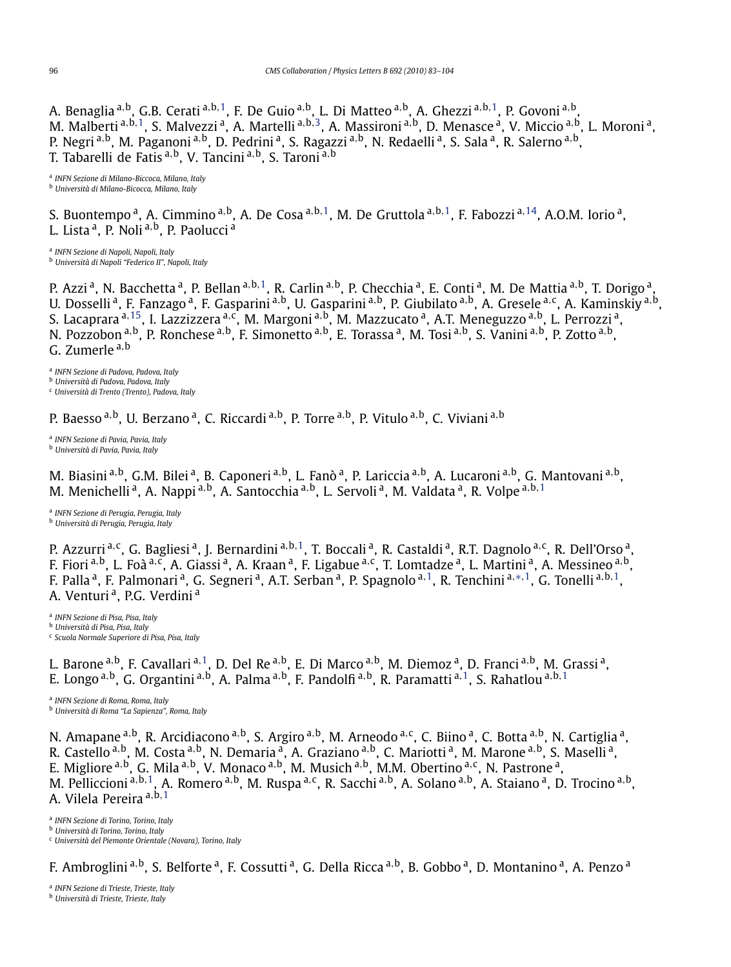A. Benaglia <sup>a</sup>*,*b, G.B. Cerati <sup>a</sup>*,*b*,*[1,](#page-21-0) F. De Guio <sup>a</sup>*,*b, L. Di Matteo <sup>a</sup>*,*b, A. Ghezzi <sup>a</sup>*,*b*,*[1,](#page-21-0) P. Govoni <sup>a</sup>*,*b, M. Malberti <sup>a</sup>*,*b*,*[1,](#page-21-0) S. Malvezzi a, A. Martelli <sup>a</sup>*,*b*,*[3,](#page-21-0) A. Massironi <sup>a</sup>*,*b, D. Menasce a, V. Miccio <sup>a</sup>*,*b, L. Moroni a, P. Negri <sup>a</sup>*,*b, M. Paganoni <sup>a</sup>*,*b, D. Pedrini a, S. Ragazzi <sup>a</sup>*,*b, N. Redaelli a, S. Sala a, R. Salerno <sup>a</sup>*,*b, T. Tabarelli de Fatis <sup>a</sup>*,*b, V. Tancini <sup>a</sup>*,*b, S. Taroni <sup>a</sup>*,*<sup>b</sup>

<sup>a</sup> *INFN Sezione di Milano-Biccoca, Milano, Italy* <sup>b</sup> *Università di Milano-Bicocca, Milano, Italy*

S. Buontempo a, A. Cimmino <sup>a</sup>*,*b, A. De Cosa <sup>a</sup>*,*b*,*[1,](#page-21-0) M. De Gruttola <sup>a</sup>*,*b*,*[1,](#page-21-0) F. Fabozzi <sup>a</sup>*,*[14,](#page-21-0) A.O.M. Iorio a, L. Lista a, P. Noli <sup>a</sup>*,*b, P. Paolucci <sup>a</sup>

<sup>a</sup> *INFN Sezione di Napoli, Napoli, Italy* <sup>b</sup> *Università di Napoli "Federico II", Napoli, Italy*

P. Azzi a, N. Bacchetta a, P. Bellan <sup>a</sup>*,*b*,*[1,](#page-21-0) R. Carlin <sup>a</sup>*,*b, P. Checchia a, E. Conti a, M. De Mattia <sup>a</sup>*,*b, T. Dorigo a, U. Dosselli a, F. Fanzago a, F. Gasparini <sup>a</sup>*,*b, U. Gasparini <sup>a</sup>*,*b, P. Giubilato <sup>a</sup>*,*b, A. Gresele <sup>a</sup>*,*c, A. Kaminskiy <sup>a</sup>*,*b, S. Lacaprara <sup>a</sup>*,*[15,](#page-21-0) I. Lazzizzera <sup>a</sup>*,*c, M. Margoni <sup>a</sup>*,*b, M. Mazzucato a, A.T. Meneguzzo <sup>a</sup>*,*b, L. Perrozzi a, N. Pozzobon <sup>a</sup>*,*b, P. Ronchese <sup>a</sup>*,*b, F. Simonetto <sup>a</sup>*,*b, E. Torassa a, M. Tosi <sup>a</sup>*,*b, S. Vanini <sup>a</sup>*,*b, P. Zotto <sup>a</sup>*,*b, G. Zumerle <sup>a</sup>*,*<sup>b</sup>

<sup>a</sup> *INFN Sezione di Padova, Padova, Italy* <sup>b</sup> *Università di Padova, Padova, Italy*

<sup>c</sup> *Università di Trento (Trento), Padova, Italy*

P. Baesso <sup>a</sup>*,*b, U. Berzano a, C. Riccardi <sup>a</sup>*,*b, P. Torre <sup>a</sup>*,*b, P. Vitulo <sup>a</sup>*,*b, C. Viviani <sup>a</sup>*,*<sup>b</sup>

<sup>a</sup> *INFN Sezione di Pavia, Pavia, Italy* <sup>b</sup> *Università di Pavia, Pavia, Italy*

M. Biasini <sup>a</sup>*,*b, G.M. Bilei a, B. Caponeri <sup>a</sup>*,*b, L. Fanò a, P. Lariccia <sup>a</sup>*,*b, A. Lucaroni <sup>a</sup>*,*b, G. Mantovani <sup>a</sup>*,*b, M. Menichelli a, A. Nappi <sup>a</sup>*,*b, A. Santocchia <sup>a</sup>*,*b, L. Servoli a, M. Valdata a, R. Volpe <sup>a</sup>*,*b*,*[1](#page-21-0)

<sup>a</sup> *INFN Sezione di Perugia, Perugia, Italy* <sup>b</sup> *Università di Perugia, Perugia, Italy*

P. Azzurri <sup>a</sup>*,*c, G. Bagliesi a, J. Bernardini <sup>a</sup>*,*b*,*[1,](#page-21-0) T. Boccali a, R. Castaldi a, R.T. Dagnolo <sup>a</sup>*,*c, R. Dell'Orso a, F. Fiori <sup>a</sup>*,*b, L. Foà <sup>a</sup>*,*c, A. Giassi a, A. Kraan a, F. Ligabue <sup>a</sup>*,*c, T. Lomtadze a, L. Martini a, A. Messineo <sup>a</sup>*,*b, F. Palla a, F. Palmonari a, G. Segneri a, A.T. Serban a, P. Spagnolo <sup>a</sup>*,*[1,](#page-21-0) R. Tenchini <sup>a</sup>*,*[∗](#page-21-0)*,*[1,](#page-21-0) G. Tonelli <sup>a</sup>*,*b*,*[1,](#page-21-0) A. Venturi<sup>a</sup>, P.G. Verdini<sup>a</sup>

<sup>a</sup> *INFN Sezione di Pisa, Pisa, Italy* <sup>b</sup> *Università di Pisa, Pisa, Italy*

<sup>c</sup> *Scuola Normale Superiore di Pisa, Pisa, Italy*

L. Barone <sup>a</sup>*,*b, F. Cavallari <sup>a</sup>*,*[1,](#page-21-0) D. Del Re <sup>a</sup>*,*b, E. Di Marco <sup>a</sup>*,*b, M. Diemoz a, D. Franci <sup>a</sup>*,*b, M. Grassi a, E. Longo <sup>a</sup>*,*b, G. Organtini <sup>a</sup>*,*b, A. Palma <sup>a</sup>*,*b, F. Pandolfi <sup>a</sup>*,*b, R. Paramatti <sup>a</sup>*,*[1,](#page-21-0) S. Rahatlou <sup>a</sup>*,*b*,*[1](#page-21-0)

<sup>a</sup> *INFN Sezione di Roma, Roma, Italy*

<sup>b</sup> *Università di Roma "La Sapienza", Roma, Italy*

N. Amapane <sup>a</sup>*,*b, R. Arcidiacono <sup>a</sup>*,*b, S. Argiro <sup>a</sup>*,*b, M. Arneodo <sup>a</sup>*,*c, C. Biino a, C. Botta <sup>a</sup>*,*b, N. Cartiglia a, R. Castello <sup>a</sup>*,*b, M. Costa <sup>a</sup>*,*b, N. Demaria a, A. Graziano <sup>a</sup>*,*b, C. Mariotti a, M. Marone <sup>a</sup>*,*b, S. Maselli a, E. Migliore <sup>a</sup>*,*b, G. Mila <sup>a</sup>*,*b, V. Monaco <sup>a</sup>*,*b, M. Musich <sup>a</sup>*,*b, M.M. Obertino <sup>a</sup>*,*c, N. Pastrone a, M. Pelliccioni <sup>a</sup>*,*b*,*[1,](#page-21-0) A. Romero <sup>a</sup>*,*b, M. Ruspa <sup>a</sup>*,*c, R. Sacchi <sup>a</sup>*,*b, A. Solano <sup>a</sup>*,*b, A. Staiano a, D. Trocino <sup>a</sup>*,*b, A. Vilela Pereira <sup>a</sup>*,*b*,*[1](#page-21-0)

<sup>a</sup> *INFN Sezione di Torino, Torino, Italy*

<sup>b</sup> *Università di Torino, Torino, Italy*

<sup>c</sup> *Università del Piemonte Orientale (Novara), Torino, Italy*

F. Ambroglini <sup>a</sup>*,*b, S. Belforte a, F. Cossutti a, G. Della Ricca <sup>a</sup>*,*b, B. Gobbo a, D. Montanino a, A. Penzo <sup>a</sup>

<sup>a</sup> *INFN Sezione di Trieste, Trieste, Italy*

<sup>b</sup> *Università di Trieste, Trieste, Italy*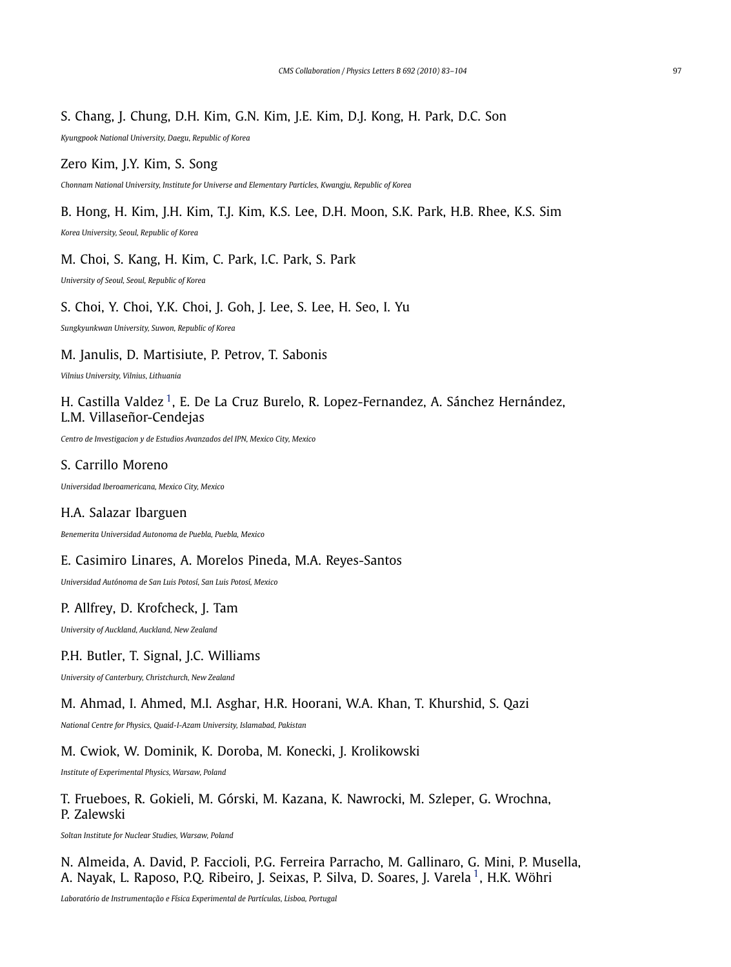# S. Chang, J. Chung, D.H. Kim, G.N. Kim, J.E. Kim, D.J. Kong, H. Park, D.C. Son

*Kyungpook National University, Daegu, Republic of Korea*

# Zero Kim, J.Y. Kim, S. Song

*Chonnam National University, Institute for Universe and Elementary Particles, Kwangju, Republic of Korea*

# B. Hong, H. Kim, J.H. Kim, T.J. Kim, K.S. Lee, D.H. Moon, S.K. Park, H.B. Rhee, K.S. Sim

*Korea University, Seoul, Republic of Korea*

# M. Choi, S. Kang, H. Kim, C. Park, I.C. Park, S. Park

*University of Seoul, Seoul, Republic of Korea*

### S. Choi, Y. Choi, Y.K. Choi, J. Goh, J. Lee, S. Lee, H. Seo, I. Yu

*Sungkyunkwan University, Suwon, Republic of Korea*

# M. Janulis, D. Martisiute, P. Petrov, T. Sabonis

*Vilnius University, Vilnius, Lithuania*

# H. Castilla Valdez<sup>1</sup>, E. De La Cruz Burelo, R. Lopez-Fernandez, A. Sánchez Hernández, L.M. Villaseñor-Cendejas

*Centro de Investigacion y de Estudios Avanzados del IPN, Mexico City, Mexico*

# S. Carrillo Moreno

*Universidad Iberoamericana, Mexico City, Mexico*

### H.A. Salazar Ibarguen

*Benemerita Universidad Autonoma de Puebla, Puebla, Mexico*

# E. Casimiro Linares, A. Morelos Pineda, M.A. Reyes-Santos

*Universidad Autónoma de San Luis Potosí, San Luis Potosí, Mexico*

# P. Allfrey, D. Krofcheck, J. Tam

*University of Auckland, Auckland, New Zealand*

### P.H. Butler, T. Signal, J.C. Williams

*University of Canterbury, Christchurch, New Zealand*

### M. Ahmad, I. Ahmed, M.I. Asghar, H.R. Hoorani, W.A. Khan, T. Khurshid, S. Qazi

*National Centre for Physics, Quaid-I-Azam University, Islamabad, Pakistan*

# M. Cwiok, W. Dominik, K. Doroba, M. Konecki, J. Krolikowski

*Institute of Experimental Physics, Warsaw, Poland*

# T. Frueboes, R. Gokieli, M. Górski, M. Kazana, K. Nawrocki, M. Szleper, G. Wrochna, P. Zalewski

*Soltan Institute for Nuclear Studies, Warsaw, Poland*

N. Almeida, A. David, P. Faccioli, P.G. Ferreira Parracho, M. Gallinaro, G. Mini, P. Musella, A. Nayak, L. Raposo, P.Q. Ribeiro, J. Seixas, P. Silva, D. Soares, J. Varela<sup>1</sup>, H.K. Wöhri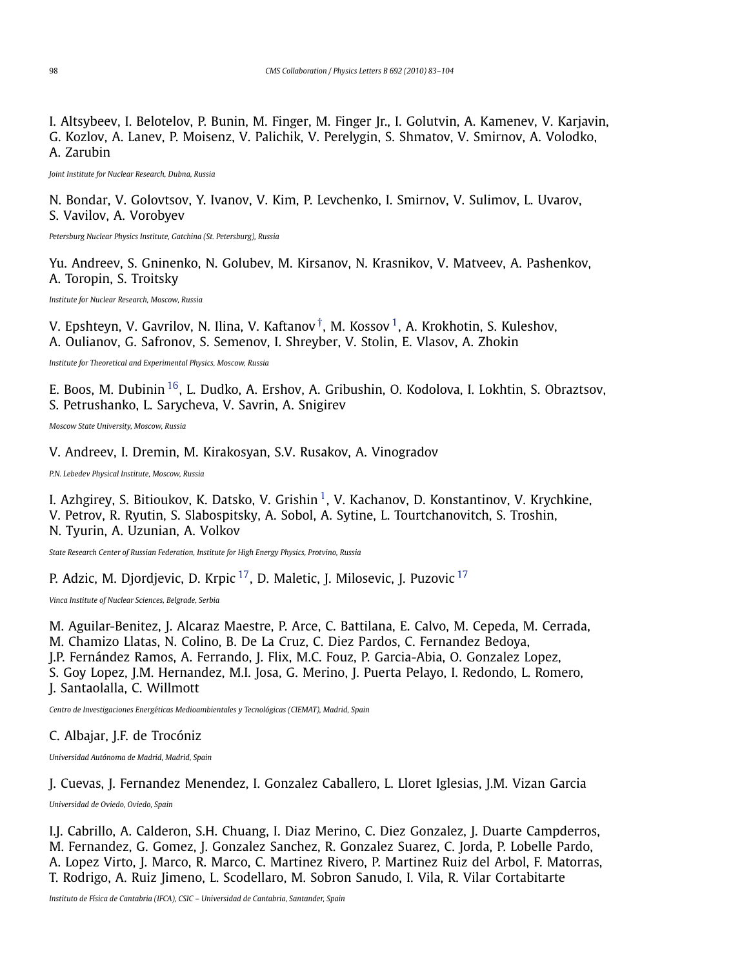I. Altsybeev, I. Belotelov, P. Bunin, M. Finger, M. Finger Jr., I. Golutvin, A. Kamenev, V. Karjavin, G. Kozlov, A. Lanev, P. Moisenz, V. Palichik, V. Perelygin, S. Shmatov, V. Smirnov, A. Volodko, A. Zarubin

*Joint Institute for Nuclear Research, Dubna, Russia*

N. Bondar, V. Golovtsov, Y. Ivanov, V. Kim, P. Levchenko, I. Smirnov, V. Sulimov, L. Uvarov, S. Vavilov, A. Vorobyev

*Petersburg Nuclear Physics Institute, Gatchina (St. Petersburg), Russia*

Yu. Andreev, S. Gninenko, N. Golubev, M. Kirsanov, N. Krasnikov, V. Matveev, A. Pashenkov, A. Toropin, S. Troitsky

*Institute for Nuclear Research, Moscow, Russia*

V. Epshteyn, V. Gavrilov, N. Ilina, V. Kaftanov<sup>†</sup>, M. Kossov<sup>[1](#page-21-0)</sup>, A. Krokhotin, S. Kuleshov, A. Oulianov, G. Safronov, S. Semenov, I. Shreyber, V. Stolin, E. Vlasov, A. Zhokin

*Institute for Theoretical and Experimental Physics, Moscow, Russia*

E. Boos, M. Dubinin <sup>16</sup>, L. Dudko, A. Ershov, A. Gribushin, O. Kodolova, I. Lokhtin, S. Obraztsov, S. Petrushanko, L. Sarycheva, V. Savrin, A. Snigirev

*Moscow State University, Moscow, Russia*

V. Andreev, I. Dremin, M. Kirakosyan, S.V. Rusakov, A. Vinogradov

*P.N. Lebedev Physical Institute, Moscow, Russia*

I. Azhgirey, S. Bitioukov, K. Datsko, V. Grishin<sup>1</sup>, V. Kachanov, D. Konstantinov, V. Krychkine, V. Petrov, R. Ryutin, S. Slabospitsky, A. Sobol, A. Sytine, L. Tourtchanovitch, S. Troshin, N. Tyurin, A. Uzunian, A. Volkov

*State Research Center of Russian Federation, Institute for High Energy Physics, Protvino, Russia*

P. Adzic, M. Djordjevic, D. Krpic <sup>[17](#page-21-0)</sup>, D. Maletic, J. Milosevic, J. Puzovic <sup>17</sup>

*Vinca Institute of Nuclear Sciences, Belgrade, Serbia*

M. Aguilar-Benitez, J. Alcaraz Maestre, P. Arce, C. Battilana, E. Calvo, M. Cepeda, M. Cerrada, M. Chamizo Llatas, N. Colino, B. De La Cruz, C. Diez Pardos, C. Fernandez Bedoya, J.P. Fernández Ramos, A. Ferrando, J. Flix, M.C. Fouz, P. Garcia-Abia, O. Gonzalez Lopez, S. Goy Lopez, J.M. Hernandez, M.I. Josa, G. Merino, J. Puerta Pelayo, I. Redondo, L. Romero, J. Santaolalla, C. Willmott

*Centro de Investigaciones Energéticas Medioambientales y Tecnológicas (CIEMAT), Madrid, Spain*

### C. Albajar, J.F. de Trocóniz

*Universidad Autónoma de Madrid, Madrid, Spain*

J. Cuevas, J. Fernandez Menendez, I. Gonzalez Caballero, L. Lloret Iglesias, J.M. Vizan Garcia

*Universidad de Oviedo, Oviedo, Spain*

I.J. Cabrillo, A. Calderon, S.H. Chuang, I. Diaz Merino, C. Diez Gonzalez, J. Duarte Campderros, M. Fernandez, G. Gomez, J. Gonzalez Sanchez, R. Gonzalez Suarez, C. Jorda, P. Lobelle Pardo, A. Lopez Virto, J. Marco, R. Marco, C. Martinez Rivero, P. Martinez Ruiz del Arbol, F. Matorras, T. Rodrigo, A. Ruiz Jimeno, L. Scodellaro, M. Sobron Sanudo, I. Vila, R. Vilar Cortabitarte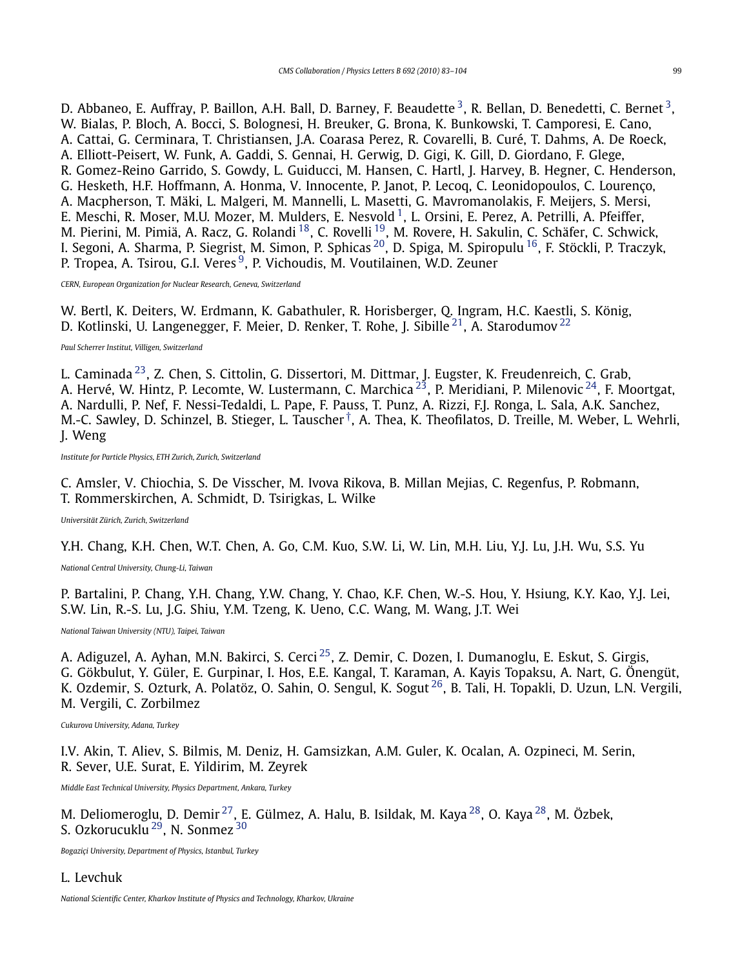D. Abbaneo, E. Auffray, P. Baillon, A.H. Ball, D. Barney, F. Beaudette  $3$ , R. Bellan, D. Benedetti, C. Bernet  $3$ , W. Bialas, P. Bloch, A. Bocci, S. Bolognesi, H. Breuker, G. Brona, K. Bunkowski, T. Camporesi, E. Cano, A. Cattai, G. Cerminara, T. Christiansen, J.A. Coarasa Perez, R. Covarelli, B. Curé, T. Dahms, A. De Roeck, A. Elliott-Peisert, W. Funk, A. Gaddi, S. Gennai, H. Gerwig, D. Gigi, K. Gill, D. Giordano, F. Glege, R. Gomez-Reino Garrido, S. Gowdy, L. Guiducci, M. Hansen, C. Hartl, J. Harvey, B. Hegner, C. Henderson, G. Hesketh, H.F. Hoffmann, A. Honma, V. Innocente, P. Janot, P. Lecoq, C. Leonidopoulos, C. Lourenço, A. Macpherson, T. Mäki, L. Malgeri, M. Mannelli, L. Masetti, G. Mavromanolakis, F. Meijers, S. Mersi, E. Meschi, R. Moser, M.U. Mozer, M. Mulders, E. Nesvold<sup>1</sup>, L. Orsini, E. Perez, A. Petrilli, A. Pfeiffer, M. Pierini, M. Pimiä, A. Racz, G. Rolandi <sup>18</sup>, C. Rovelli <sup>19</sup>, M. Rovere, H. Sakulin, C. Schäfer, C. Schwick, I. Segoni, A. Sharma, P. Siegrist, M. Simon, P. Sphicas <sup>20</sup>, D. Spiga, M. Spiropulu <sup>16</sup>, F. Stöckli, P. Traczyk, P. Tropea, A. Tsirou, G.I. Veres<sup>9</sup>, P. Vichoudis, M. Voutilainen, W.D. Zeuner

*CERN, European Organization for Nuclear Research, Geneva, Switzerland*

W. Bertl, K. Deiters, W. Erdmann, K. Gabathuler, R. Horisberger, Q. Ingram, H.C. Kaestli, S. König, D. Kotlinski, U. Langenegger, F. Meier, D. Renker, T. Rohe, J. Sibille [21,](#page-21-0) A. Starodumov [22](#page-21-0)

*Paul Scherrer Institut, Villigen, Switzerland*

L. Caminada [23,](#page-21-0) Z. Chen, S. Cittolin, G. Dissertori, M. Dittmar, J. Eugster, K. Freudenreich, C. Grab, A. Hervé, W. Hintz, P. Lecomte, W. Lustermann, C. Marchica<sup>23</sup>, P. Meridiani, P. Milenovic<sup>24</sup>, F. Moortgat, A. Nardulli, P. Nef, F. Nessi-Tedaldi, L. Pape, F. Pauss, T. Punz, A. Rizzi, F.J. Ronga, L. Sala, A.K. Sanchez, M.-C. Sawley, D. Schinzel, B. Stieger, L. Tauscher [†](#page-21-0), A. Thea, K. Theofilatos, D. Treille, M. Weber, L. Wehrli, J. Weng

*Institute for Particle Physics, ETH Zurich, Zurich, Switzerland*

C. Amsler, V. Chiochia, S. De Visscher, M. Ivova Rikova, B. Millan Mejias, C. Regenfus, P. Robmann, T. Rommerskirchen, A. Schmidt, D. Tsirigkas, L. Wilke

*Universität Zürich, Zurich, Switzerland*

Y.H. Chang, K.H. Chen, W.T. Chen, A. Go, C.M. Kuo, S.W. Li, W. Lin, M.H. Liu, Y.J. Lu, J.H. Wu, S.S. Yu

*National Central University, Chung-Li, Taiwan*

P. Bartalini, P. Chang, Y.H. Chang, Y.W. Chang, Y. Chao, K.F. Chen, W.-S. Hou, Y. Hsiung, K.Y. Kao, Y.J. Lei, S.W. Lin, R.-S. Lu, J.G. Shiu, Y.M. Tzeng, K. Ueno, C.C. Wang, M. Wang, J.T. Wei

*National Taiwan University (NTU), Taipei, Taiwan*

A. Adiguzel, A. Ayhan, M.N. Bakirci, S. Cerci<sup>25</sup>, Z. Demir, C. Dozen, I. Dumanoglu, E. Eskut, S. Girgis, G. Gökbulut, Y. Güler, E. Gurpinar, I. Hos, E.E. Kangal, T. Karaman, A. Kayis Topaksu, A. Nart, G. Önengüt, K. Ozdemir, S. Ozturk, A. Polatöz, O. Sahin, O. Sengul, K. Sogut [26,](#page-21-0) B. Tali, H. Topakli, D. Uzun, L.N. Vergili, M. Vergili, C. Zorbilmez

*Cukurova University, Adana, Turkey*

I.V. Akin, T. Aliev, S. Bilmis, M. Deniz, H. Gamsizkan, A.M. Guler, K. Ocalan, A. Ozpineci, M. Serin, R. Sever, U.E. Surat, E. Yildirim, M. Zeyrek

*Middle East Technical University, Physics Department, Ankara, Turkey*

M. Deliomeroglu, D. Demir [27,](#page-21-0) E. Gülmez, A. Halu, B. Isildak, M. Kaya [28,](#page-21-0) O. Kaya [28,](#page-21-0) M. Özbek, S. Ozkorucuklu [29,](#page-21-0) N. Sonmez [30](#page-21-0)

*Bogaziçi University, Department of Physics, Istanbul, Turkey*

# L. Levchuk

*National Scientific Center, Kharkov Institute of Physics and Technology, Kharkov, Ukraine*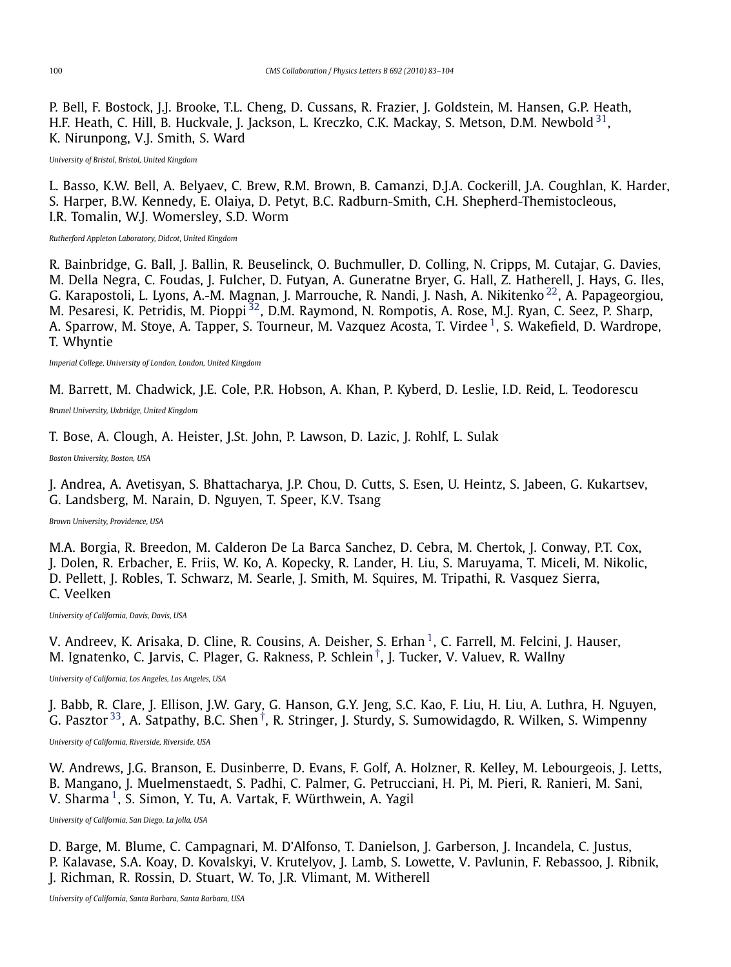P. Bell, F. Bostock, J.J. Brooke, T.L. Cheng, D. Cussans, R. Frazier, J. Goldstein, M. Hansen, G.P. Heath, H.F. Heath, C. Hill, B. Huckvale, J. Jackson, L. Kreczko, C.K. Mackay, S. Metson, D.M. Newbold [31,](#page-21-0) K. Nirunpong, V.J. Smith, S. Ward

*University of Bristol, Bristol, United Kingdom*

L. Basso, K.W. Bell, A. Belyaev, C. Brew, R.M. Brown, B. Camanzi, D.J.A. Cockerill, J.A. Coughlan, K. Harder, S. Harper, B.W. Kennedy, E. Olaiya, D. Petyt, B.C. Radburn-Smith, C.H. Shepherd-Themistocleous, I.R. Tomalin, W.J. Womersley, S.D. Worm

*Rutherford Appleton Laboratory, Didcot, United Kingdom*

R. Bainbridge, G. Ball, J. Ballin, R. Beuselinck, O. Buchmuller, D. Colling, N. Cripps, M. Cutajar, G. Davies, M. Della Negra, C. Foudas, J. Fulcher, D. Futyan, A. Guneratne Bryer, G. Hall, Z. Hatherell, J. Hays, G. Iles, G. Karapostoli, L. Lyons, A.-M. Magnan, J. Marrouche, R. Nandi, J. Nash, A. Nikitenko [22](#page-21-0), A. Papageorgiou, M. Pesaresi, K. Petridis, M. Pioppi<sup>32</sup>, D.M. Raymond, N. Rompotis, A. Rose, M.J. Ryan, C. Seez, P. Sharp, A. Sparrow, M. Stoye, A. Tapper, S. Tourneur, M. Vazquez Acosta, T. Virdee <sup>[1](#page-21-0)</sup>, S. Wakefield, D. Wardrope, T. Whyntie

*Imperial College, University of London, London, United Kingdom*

M. Barrett, M. Chadwick, J.E. Cole, P.R. Hobson, A. Khan, P. Kyberd, D. Leslie, I.D. Reid, L. Teodorescu

*Brunel University, Uxbridge, United Kingdom*

T. Bose, A. Clough, A. Heister, J.St. John, P. Lawson, D. Lazic, J. Rohlf, L. Sulak

*Boston University, Boston, USA*

J. Andrea, A. Avetisyan, S. Bhattacharya, J.P. Chou, D. Cutts, S. Esen, U. Heintz, S. Jabeen, G. Kukartsev, G. Landsberg, M. Narain, D. Nguyen, T. Speer, K.V. Tsang

*Brown University, Providence, USA*

M.A. Borgia, R. Breedon, M. Calderon De La Barca Sanchez, D. Cebra, M. Chertok, J. Conway, P.T. Cox, J. Dolen, R. Erbacher, E. Friis, W. Ko, A. Kopecky, R. Lander, H. Liu, S. Maruyama, T. Miceli, M. Nikolic, D. Pellett, J. Robles, T. Schwarz, M. Searle, J. Smith, M. Squires, M. Tripathi, R. Vasquez Sierra, C. Veelken

*University of California, Davis, Davis, USA*

V. Andreev, K. Arisaka, D. Cline, R. Cousins, A. Deisher, S. Erhan<sup>1</sup>, C. Farrell, M. Felcini, J. Hauser, M. Ignatenko, C. Jarvis, C. Plager, G. Rakness, P. Schlein [†,](#page-21-0) J. Tucker, V. Valuev, R. Wallny

*University of California, Los Angeles, Los Angeles, USA*

J. Babb, R. Clare, J. Ellison, J.W. Gary, G. Hanson, G.Y. Jeng, S.C. Kao, F. Liu, H. Liu, A. Luthra, H. Nguyen, G. Pasztor  $^{33}$ , A. Satpathy, B.C. Shen  $^{\dagger}$ , R. Stringer, J. Sturdy, S. Sumowidagdo, R. Wilken, S. Wimpenny

*University of California, Riverside, Riverside, USA*

W. Andrews, J.G. Branson, E. Dusinberre, D. Evans, F. Golf, A. Holzner, R. Kelley, M. Lebourgeois, J. Letts, B. Mangano, J. Muelmenstaedt, S. Padhi, C. Palmer, G. Petrucciani, H. Pi, M. Pieri, R. Ranieri, M. Sani, V. Sharma<sup>1</sup>, S. Simon, Y. Tu, A. Vartak, F. Würthwein, A. Yagil

*University of California, San Diego, La Jolla, USA*

D. Barge, M. Blume, C. Campagnari, M. D'Alfonso, T. Danielson, J. Garberson, J. Incandela, C. Justus, P. Kalavase, S.A. Koay, D. Kovalskyi, V. Krutelyov, J. Lamb, S. Lowette, V. Pavlunin, F. Rebassoo, J. Ribnik, J. Richman, R. Rossin, D. Stuart, W. To, J.R. Vlimant, M. Witherell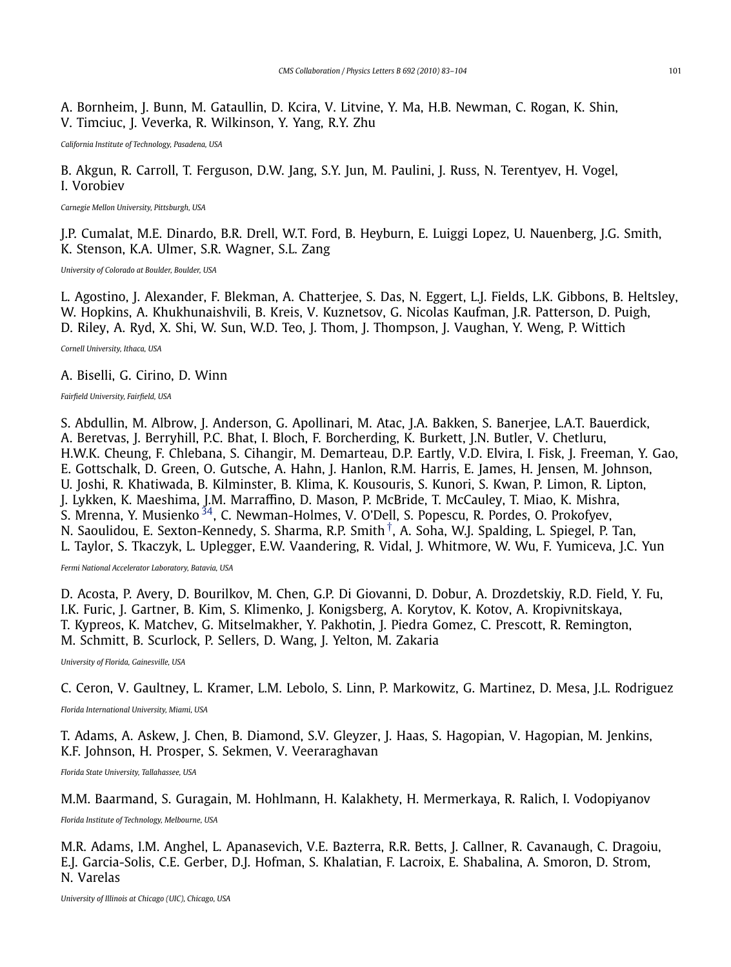A. Bornheim, J. Bunn, M. Gataullin, D. Kcira, V. Litvine, Y. Ma, H.B. Newman, C. Rogan, K. Shin, V. Timciuc, J. Veverka, R. Wilkinson, Y. Yang, R.Y. Zhu

*California Institute of Technology, Pasadena, USA*

B. Akgun, R. Carroll, T. Ferguson, D.W. Jang, S.Y. Jun, M. Paulini, J. Russ, N. Terentyev, H. Vogel, I. Vorobiev

*Carnegie Mellon University, Pittsburgh, USA*

J.P. Cumalat, M.E. Dinardo, B.R. Drell, W.T. Ford, B. Heyburn, E. Luiggi Lopez, U. Nauenberg, J.G. Smith, K. Stenson, K.A. Ulmer, S.R. Wagner, S.L. Zang

*University of Colorado at Boulder, Boulder, USA*

L. Agostino, J. Alexander, F. Blekman, A. Chatterjee, S. Das, N. Eggert, L.J. Fields, L.K. Gibbons, B. Heltsley, W. Hopkins, A. Khukhunaishvili, B. Kreis, V. Kuznetsov, G. Nicolas Kaufman, J.R. Patterson, D. Puigh, D. Riley, A. Ryd, X. Shi, W. Sun, W.D. Teo, J. Thom, J. Thompson, J. Vaughan, Y. Weng, P. Wittich

*Cornell University, Ithaca, USA*

A. Biselli, G. Cirino, D. Winn

*Fairfield University, Fairfield, USA*

S. Abdullin, M. Albrow, J. Anderson, G. Apollinari, M. Atac, J.A. Bakken, S. Banerjee, L.A.T. Bauerdick, A. Beretvas, J. Berryhill, P.C. Bhat, I. Bloch, F. Borcherding, K. Burkett, J.N. Butler, V. Chetluru, H.W.K. Cheung, F. Chlebana, S. Cihangir, M. Demarteau, D.P. Eartly, V.D. Elvira, I. Fisk, J. Freeman, Y. Gao, E. Gottschalk, D. Green, O. Gutsche, A. Hahn, J. Hanlon, R.M. Harris, E. James, H. Jensen, M. Johnson, U. Joshi, R. Khatiwada, B. Kilminster, B. Klima, K. Kousouris, S. Kunori, S. Kwan, P. Limon, R. Lipton, J. Lykken, K. Maeshima, J.M. Marraffino, D. Mason, P. McBride, T. McCauley, T. Miao, K. Mishra, S. Mrenna, Y. Musienko <sup>34</sup>, C. Newman-Holmes, V. O'Dell, S. Popescu, R. Pordes, O. Prokofyev, N. Saoulidou, E. Sexton-Kennedy, S. Sharma, R.P. Smith [†,](#page-21-0) A. Soha, W.J. Spalding, L. Spiegel, P. Tan, L. Taylor, S. Tkaczyk, L. Uplegger, E.W. Vaandering, R. Vidal, J. Whitmore, W. Wu, F. Yumiceva, J.C. Yun

*Fermi National Accelerator Laboratory, Batavia, USA*

D. Acosta, P. Avery, D. Bourilkov, M. Chen, G.P. Di Giovanni, D. Dobur, A. Drozdetskiy, R.D. Field, Y. Fu, I.K. Furic, J. Gartner, B. Kim, S. Klimenko, J. Konigsberg, A. Korytov, K. Kotov, A. Kropivnitskaya, T. Kypreos, K. Matchev, G. Mitselmakher, Y. Pakhotin, J. Piedra Gomez, C. Prescott, R. Remington, M. Schmitt, B. Scurlock, P. Sellers, D. Wang, J. Yelton, M. Zakaria

*University of Florida, Gainesville, USA*

C. Ceron, V. Gaultney, L. Kramer, L.M. Lebolo, S. Linn, P. Markowitz, G. Martinez, D. Mesa, J.L. Rodriguez

*Florida International University, Miami, USA*

T. Adams, A. Askew, J. Chen, B. Diamond, S.V. Gleyzer, J. Haas, S. Hagopian, V. Hagopian, M. Jenkins, K.F. Johnson, H. Prosper, S. Sekmen, V. Veeraraghavan

*Florida State University, Tallahassee, USA*

M.M. Baarmand, S. Guragain, M. Hohlmann, H. Kalakhety, H. Mermerkaya, R. Ralich, I. Vodopiyanov

*Florida Institute of Technology, Melbourne, USA*

M.R. Adams, I.M. Anghel, L. Apanasevich, V.E. Bazterra, R.R. Betts, J. Callner, R. Cavanaugh, C. Dragoiu, E.J. Garcia-Solis, C.E. Gerber, D.J. Hofman, S. Khalatian, F. Lacroix, E. Shabalina, A. Smoron, D. Strom, N. Varelas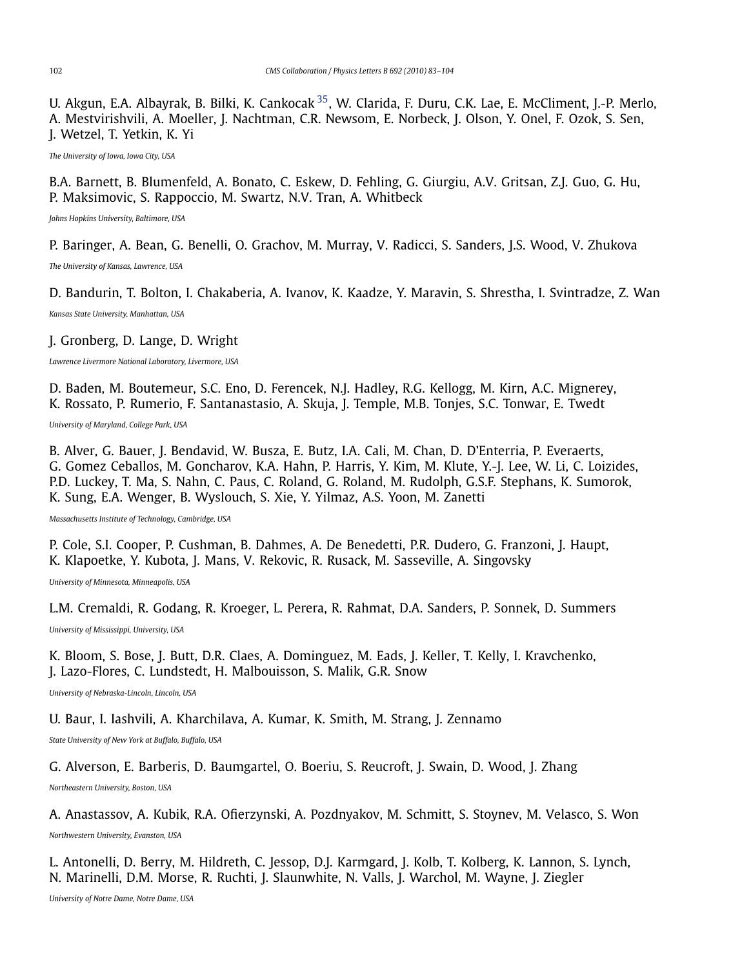U. Akgun, E.A. Albayrak, B. Bilki, K. Cankocak <sup>35</sup>, W. Clarida, F. Duru, C.K. Lae, E. McCliment, J.-P. Merlo, A. Mestvirishvili, A. Moeller, J. Nachtman, C.R. Newsom, E. Norbeck, J. Olson, Y. Onel, F. Ozok, S. Sen, J. Wetzel, T. Yetkin, K. Yi

*The University of Iowa, Iowa City, USA*

B.A. Barnett, B. Blumenfeld, A. Bonato, C. Eskew, D. Fehling, G. Giurgiu, A.V. Gritsan, Z.J. Guo, G. Hu, P. Maksimovic, S. Rappoccio, M. Swartz, N.V. Tran, A. Whitbeck

*Johns Hopkins University, Baltimore, USA*

P. Baringer, A. Bean, G. Benelli, O. Grachov, M. Murray, V. Radicci, S. Sanders, J.S. Wood, V. Zhukova

*The University of Kansas, Lawrence, USA*

D. Bandurin, T. Bolton, I. Chakaberia, A. Ivanov, K. Kaadze, Y. Maravin, S. Shrestha, I. Svintradze, Z. Wan

*Kansas State University, Manhattan, USA*

#### J. Gronberg, D. Lange, D. Wright

*Lawrence Livermore National Laboratory, Livermore, USA*

D. Baden, M. Boutemeur, S.C. Eno, D. Ferencek, N.J. Hadley, R.G. Kellogg, M. Kirn, A.C. Mignerey, K. Rossato, P. Rumerio, F. Santanastasio, A. Skuja, J. Temple, M.B. Tonjes, S.C. Tonwar, E. Twedt

*University of Maryland, College Park, USA*

B. Alver, G. Bauer, J. Bendavid, W. Busza, E. Butz, I.A. Cali, M. Chan, D. D'Enterria, P. Everaerts, G. Gomez Ceballos, M. Goncharov, K.A. Hahn, P. Harris, Y. Kim, M. Klute, Y.-J. Lee, W. Li, C. Loizides, P.D. Luckey, T. Ma, S. Nahn, C. Paus, C. Roland, G. Roland, M. Rudolph, G.S.F. Stephans, K. Sumorok, K. Sung, E.A. Wenger, B. Wyslouch, S. Xie, Y. Yilmaz, A.S. Yoon, M. Zanetti

*Massachusetts Institute of Technology, Cambridge, USA*

P. Cole, S.I. Cooper, P. Cushman, B. Dahmes, A. De Benedetti, P.R. Dudero, G. Franzoni, J. Haupt, K. Klapoetke, Y. Kubota, J. Mans, V. Rekovic, R. Rusack, M. Sasseville, A. Singovsky

*University of Minnesota, Minneapolis, USA*

L.M. Cremaldi, R. Godang, R. Kroeger, L. Perera, R. Rahmat, D.A. Sanders, P. Sonnek, D. Summers *University of Mississippi, University, USA*

K. Bloom, S. Bose, J. Butt, D.R. Claes, A. Dominguez, M. Eads, J. Keller, T. Kelly, I. Kravchenko, J. Lazo-Flores, C. Lundstedt, H. Malbouisson, S. Malik, G.R. Snow

*University of Nebraska-Lincoln, Lincoln, USA*

U. Baur, I. Iashvili, A. Kharchilava, A. Kumar, K. Smith, M. Strang, J. Zennamo

*State University of New York at Buffalo, Buffalo, USA*

G. Alverson, E. Barberis, D. Baumgartel, O. Boeriu, S. Reucroft, J. Swain, D. Wood, J. Zhang

*Northeastern University, Boston, USA*

```
A. Anastassov, A. Kubik, R.A. Ofierzynski, A. Pozdnyakov, M. Schmitt, S. Stoynev, M. Velasco, S. Won
```
*Northwestern University, Evanston, USA*

L. Antonelli, D. Berry, M. Hildreth, C. Jessop, D.J. Karmgard, J. Kolb, T. Kolberg, K. Lannon, S. Lynch, N. Marinelli, D.M. Morse, R. Ruchti, J. Slaunwhite, N. Valls, J. Warchol, M. Wayne, J. Ziegler

*University of Notre Dame, Notre Dame, USA*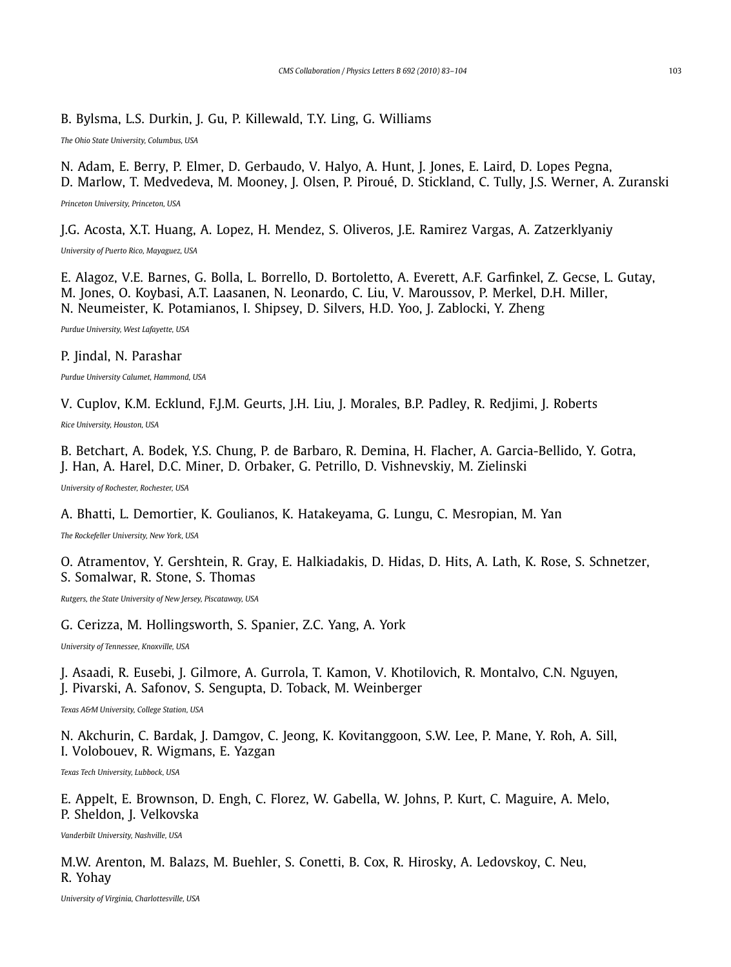# B. Bylsma, L.S. Durkin, J. Gu, P. Killewald, T.Y. Ling, G. Williams

*The Ohio State University, Columbus, USA*

N. Adam, E. Berry, P. Elmer, D. Gerbaudo, V. Halyo, A. Hunt, J. Jones, E. Laird, D. Lopes Pegna, D. Marlow, T. Medvedeva, M. Mooney, J. Olsen, P. Piroué, D. Stickland, C. Tully, J.S. Werner, A. Zuranski

*Princeton University, Princeton, USA*

J.G. Acosta, X.T. Huang, A. Lopez, H. Mendez, S. Oliveros, J.E. Ramirez Vargas, A. Zatzerklyaniy

*University of Puerto Rico, Mayaguez, USA*

E. Alagoz, V.E. Barnes, G. Bolla, L. Borrello, D. Bortoletto, A. Everett, A.F. Garfinkel, Z. Gecse, L. Gutay, M. Jones, O. Koybasi, A.T. Laasanen, N. Leonardo, C. Liu, V. Maroussov, P. Merkel, D.H. Miller, N. Neumeister, K. Potamianos, I. Shipsey, D. Silvers, H.D. Yoo, J. Zablocki, Y. Zheng

*Purdue University, West Lafayette, USA*

P. Jindal, N. Parashar

*Purdue University Calumet, Hammond, USA*

V. Cuplov, K.M. Ecklund, F.J.M. Geurts, J.H. Liu, J. Morales, B.P. Padley, R. Redjimi, J. Roberts

*Rice University, Houston, USA*

B. Betchart, A. Bodek, Y.S. Chung, P. de Barbaro, R. Demina, H. Flacher, A. Garcia-Bellido, Y. Gotra, J. Han, A. Harel, D.C. Miner, D. Orbaker, G. Petrillo, D. Vishnevskiy, M. Zielinski

*University of Rochester, Rochester, USA*

A. Bhatti, L. Demortier, K. Goulianos, K. Hatakeyama, G. Lungu, C. Mesropian, M. Yan

*The Rockefeller University, New York, USA*

O. Atramentov, Y. Gershtein, R. Gray, E. Halkiadakis, D. Hidas, D. Hits, A. Lath, K. Rose, S. Schnetzer, S. Somalwar, R. Stone, S. Thomas

*Rutgers, the State University of New Jersey, Piscataway, USA*

G. Cerizza, M. Hollingsworth, S. Spanier, Z.C. Yang, A. York

*University of Tennessee, Knoxville, USA*

J. Asaadi, R. Eusebi, J. Gilmore, A. Gurrola, T. Kamon, V. Khotilovich, R. Montalvo, C.N. Nguyen, J. Pivarski, A. Safonov, S. Sengupta, D. Toback, M. Weinberger

*Texas A&M University, College Station, USA*

N. Akchurin, C. Bardak, J. Damgov, C. Jeong, K. Kovitanggoon, S.W. Lee, P. Mane, Y. Roh, A. Sill, I. Volobouev, R. Wigmans, E. Yazgan

*Texas Tech University, Lubbock, USA*

E. Appelt, E. Brownson, D. Engh, C. Florez, W. Gabella, W. Johns, P. Kurt, C. Maguire, A. Melo, P. Sheldon, J. Velkovska

*Vanderbilt University, Nashville, USA*

M.W. Arenton, M. Balazs, M. Buehler, S. Conetti, B. Cox, R. Hirosky, A. Ledovskoy, C. Neu, R. Yohay